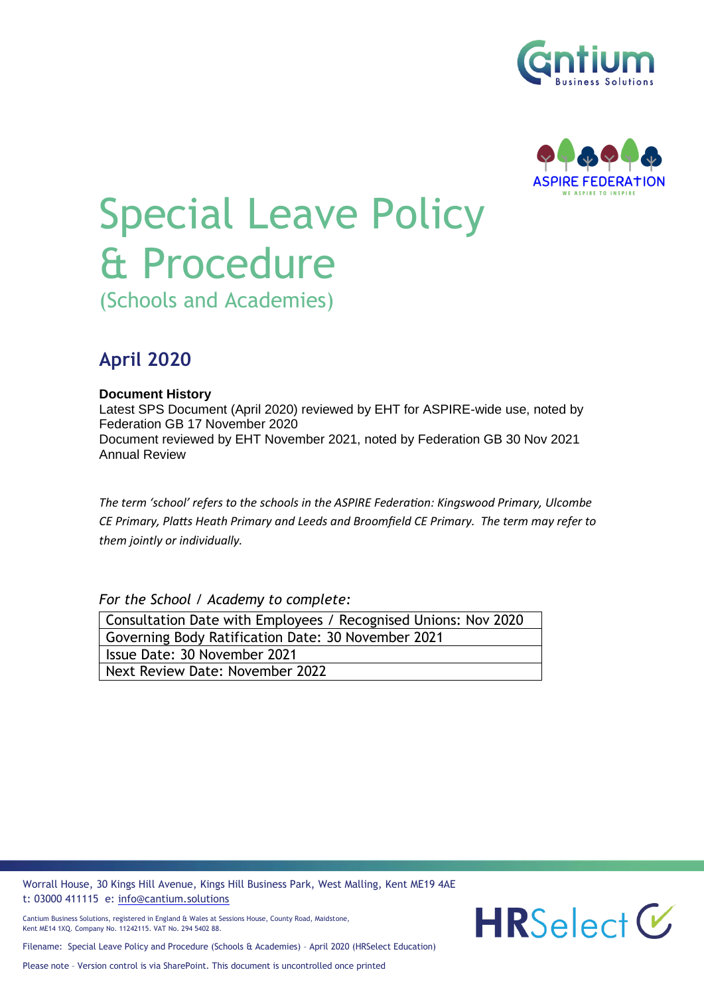



# Special Leave Policy & Procedure

(Schools and Academies)

# **April 2020**

## **Document History**

Latest SPS Document (April 2020) reviewed by EHT for ASPIRE-wide use, noted by Federation GB 17 November 2020 Document reviewed by EHT November 2021, noted by Federation GB 30 Nov 2021 Annual Review

*The term 'school' refers to the schools in the ASPIRE Federation: Kingswood Primary, Ulcombe CE Primary, Platts Heath Primary and Leeds and Broomfield CE Primary. The term may refer to them jointly or individually.*

*For the School / Academy to complete:*

| Consultation Date with Employees / Recognised Unions: Nov 2020 |
|----------------------------------------------------------------|
| Governing Body Ratification Date: 30 November 2021             |
| Issue Date: 30 November 2021                                   |
| Next Review Date: November 2022                                |
|                                                                |

Worrall House, 30 Kings Hill Avenue, Kings Hill Business Park, West Malling, Kent ME19 4AE t: 03000 411115 e: [info@cantium.solutions](mailto:info@cantium.solutions)

Cantium Business Solutions, registered in England & Wales at Sessions House, County Road, Maidstone, Kent ME14 1XQ. Company No. 11242115. VAT No. 294 5402 88.

Filename: Special Leave Policy and Procedure (Schools & Academies) – April 2020 (HRSelect Education)

Please note – Version control is via SharePoint. This document is uncontrolled once printed

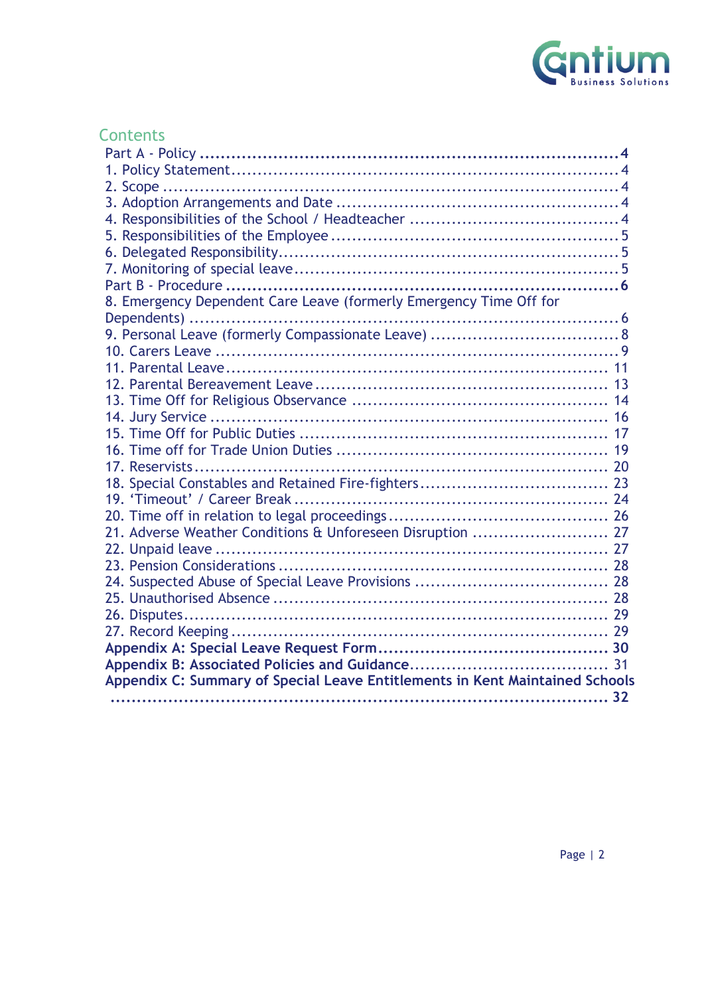

# **Contents**

| 8. Emergency Dependent Care Leave (formerly Emergency Time Off for           |
|------------------------------------------------------------------------------|
|                                                                              |
|                                                                              |
|                                                                              |
|                                                                              |
|                                                                              |
|                                                                              |
|                                                                              |
|                                                                              |
|                                                                              |
|                                                                              |
|                                                                              |
|                                                                              |
|                                                                              |
| 21. Adverse Weather Conditions & Unforeseen Disruption  27                   |
|                                                                              |
|                                                                              |
|                                                                              |
|                                                                              |
|                                                                              |
|                                                                              |
|                                                                              |
|                                                                              |
| Appendix C: Summary of Special Leave Entitlements in Kent Maintained Schools |
|                                                                              |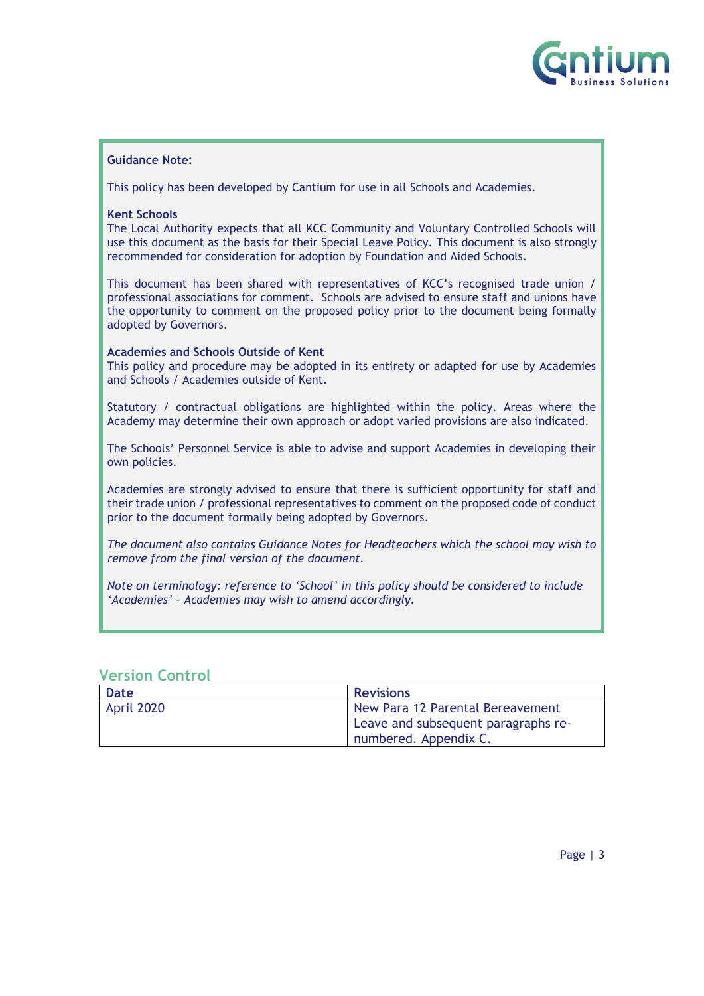

#### **Guidance Note:**

This policy has been developed by Cantium for use in all Schools and Academies.

#### **Kent Schools**

The Local Authority expects that all KCC Community and Voluntary Controlled Schools will use this document as the basis for their Special Leave Policy. This document is also strongly recommended for consideration for adoption by Foundation and Aided Schools.

This document has been shared with representatives of KCC's recognised trade union / professional associations for comment. Schools are advised to ensure staff and unions have the opportunity to comment on the proposed policy prior to the document being formally adopted by Governors.

#### **Academies and Schools Outside of Kent**

This policy and procedure may be adopted in its entirety or adapted for use by Academies and Schools / Academies outside of Kent.

Statutory / contractual obligations are highlighted within the policy. Areas where the Academy may determine their own approach or adopt varied provisions are also indicated.

The Schools' Personnel Service is able to advise and support Academies in developing their own policies.

Academies are strongly advised to ensure that there is sufficient opportunity for staff and their trade union / professional representatives to comment on the proposed code of conduct prior to the document formally being adopted by Governors.

*The document also contains Guidance Notes for Headteachers which the school may wish to remove from the final version of the document.*

*Note on terminology: reference to 'School' in this policy should be considered to include 'Academies' – Academies may wish to amend accordingly.*

| <b>Date</b> | <b>Revisions</b>                    |
|-------------|-------------------------------------|
| April 2020  | New Para 12 Parental Bereavement    |
|             | Leave and subsequent paragraphs re- |
|             | numbered. Appendix C.               |

## **Version Control**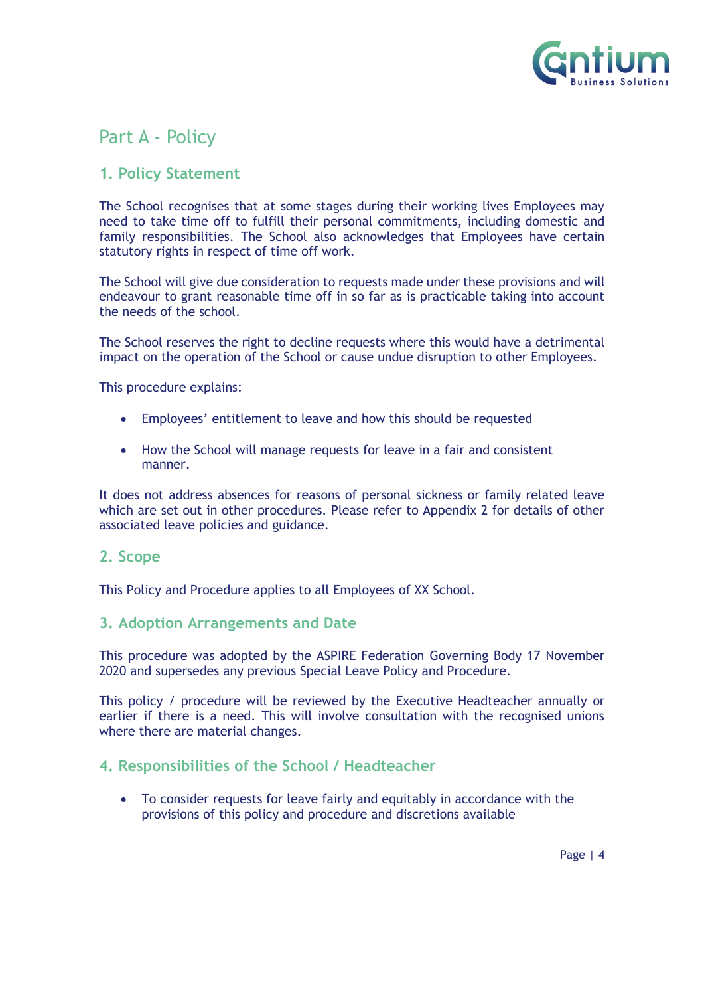

# <span id="page-3-0"></span>Part A - Policy

## <span id="page-3-1"></span>**1. Policy Statement**

The School recognises that at some stages during their working lives Employees may need to take time off to fulfill their personal commitments, including domestic and family responsibilities. The School also acknowledges that Employees have certain statutory rights in respect of time off work.

The School will give due consideration to requests made under these provisions and will endeavour to grant reasonable time off in so far as is practicable taking into account the needs of the school.

The School reserves the right to decline requests where this would have a detrimental impact on the operation of the School or cause undue disruption to other Employees.

This procedure explains:

- Employees' entitlement to leave and how this should be requested
- How the School will manage requests for leave in a fair and consistent manner.

It does not address absences for reasons of personal sickness or family related leave which are set out in other procedures. Please refer to Appendix 2 for details of other associated leave policies and guidance.

## <span id="page-3-2"></span>**2. Scope**

This Policy and Procedure applies to all Employees of XX School.

## <span id="page-3-3"></span>**3. Adoption Arrangements and Date**

This procedure was adopted by the ASPIRE Federation Governing Body 17 November 2020 and supersedes any previous Special Leave Policy and Procedure.

This policy / procedure will be reviewed by the Executive Headteacher annually or earlier if there is a need. This will involve consultation with the recognised unions where there are material changes.

## <span id="page-3-4"></span>**4. Responsibilities of the School / Headteacher**

• To consider requests for leave fairly and equitably in accordance with the provisions of this policy and procedure and discretions available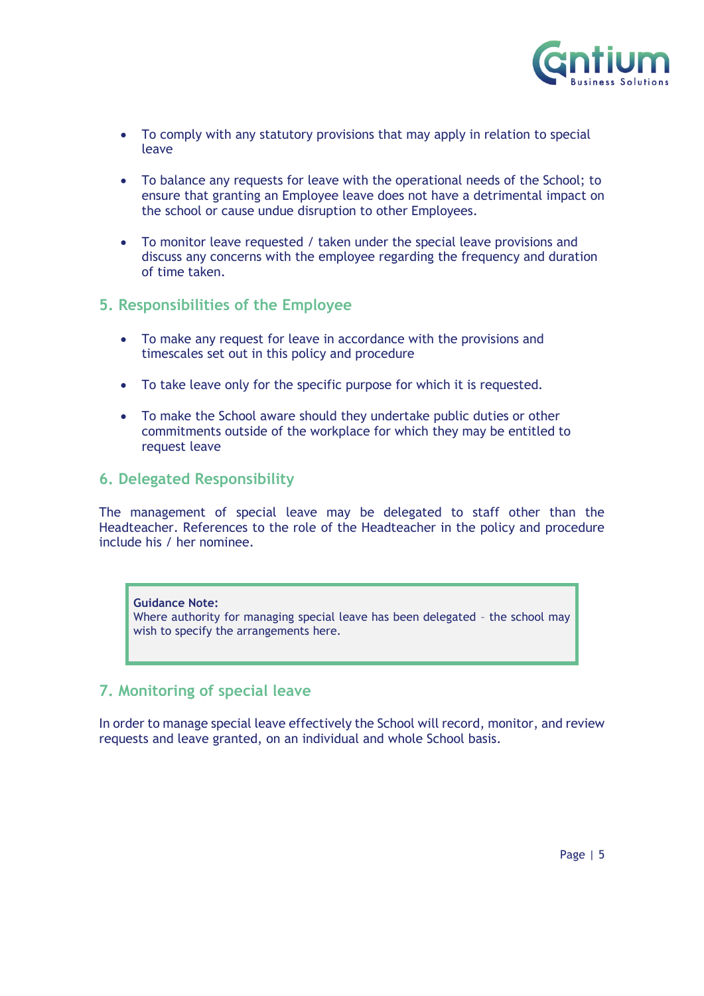

- To comply with any statutory provisions that may apply in relation to special leave
- To balance any requests for leave with the operational needs of the School; to ensure that granting an Employee leave does not have a detrimental impact on the school or cause undue disruption to other Employees.
- To monitor leave requested / taken under the special leave provisions and discuss any concerns with the employee regarding the frequency and duration of time taken.

## <span id="page-4-0"></span>**5. Responsibilities of the Employee**

- To make any request for leave in accordance with the provisions and timescales set out in this policy and procedure
- To take leave only for the specific purpose for which it is requested.
- To make the School aware should they undertake public duties or other commitments outside of the workplace for which they may be entitled to request leave

## <span id="page-4-1"></span>**6. Delegated Responsibility**

The management of special leave may be delegated to staff other than the Headteacher. References to the role of the Headteacher in the policy and procedure include his / her nominee.

## **Guidance Note:**  Where authority for managing special leave has been delegated – the school may wish to specify the arrangements here.

## <span id="page-4-2"></span>**7. Monitoring of special leave**

<span id="page-4-3"></span>In order to manage special leave effectively the School will record, monitor, and review requests and leave granted, on an individual and whole School basis.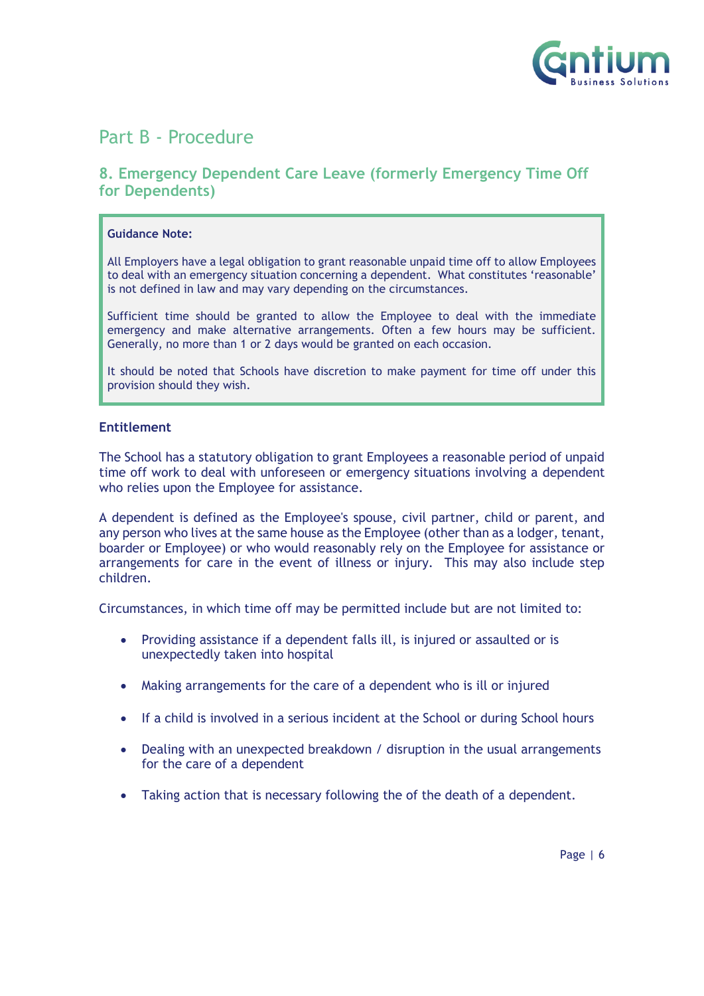

# Part B - Procedure

## <span id="page-5-0"></span>**8. Emergency Dependent Care Leave (formerly Emergency Time Off for Dependents)**

#### **Guidance Note:**

All Employers have a legal obligation to grant reasonable unpaid time off to allow Employees to deal with an emergency situation concerning a dependent. What constitutes 'reasonable' is not defined in law and may vary depending on the circumstances.

Sufficient time should be granted to allow the Employee to deal with the immediate emergency and make alternative arrangements. Often a few hours may be sufficient. Generally, no more than 1 or 2 days would be granted on each occasion.

It should be noted that Schools have discretion to make payment for time off under this provision should they wish.

#### **Entitlement**

The School has a statutory obligation to grant Employees a reasonable period of unpaid time off work to deal with unforeseen or emergency situations involving a dependent who relies upon the Employee for assistance.

A dependent is defined as the Employee's spouse, civil partner, child or parent, and any person who lives at the same house as the Employee (other than as a lodger, tenant, boarder or Employee) or who would reasonably rely on the Employee for assistance or arrangements for care in the event of illness or injury. This may also include step children.

Circumstances, in which time off may be permitted include but are not limited to:

- Providing assistance if a dependent falls ill, is injured or assaulted or is unexpectedly taken into hospital
- Making arrangements for the care of a dependent who is ill or injured
- If a child is involved in a serious incident at the School or during School hours
- Dealing with an unexpected breakdown / disruption in the usual arrangements for the care of a dependent
- Taking action that is necessary following the of the death of a dependent.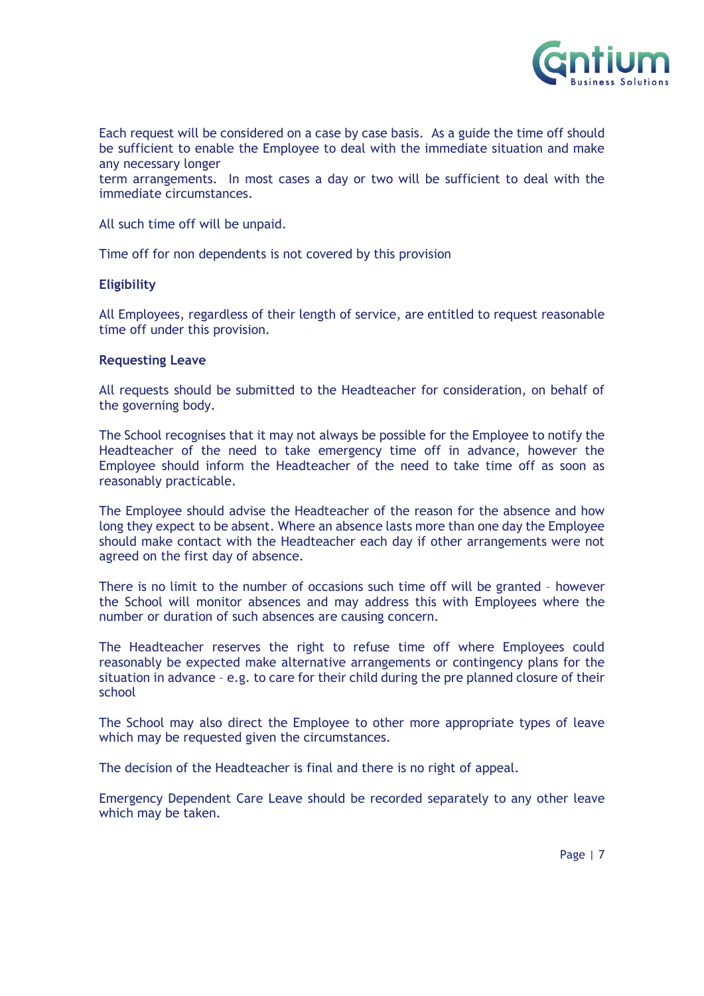

Each request will be considered on a case by case basis. As a guide the time off should be sufficient to enable the Employee to deal with the immediate situation and make any necessary longer

term arrangements. In most cases a day or two will be sufficient to deal with the immediate circumstances.

All such time off will be unpaid.

Time off for non dependents is not covered by this provision

#### **Eligibility**

All Employees, regardless of their length of service, are entitled to request reasonable time off under this provision.

#### **Requesting Leave**

All requests should be submitted to the Headteacher for consideration, on behalf of the governing body.

The School recognises that it may not always be possible for the Employee to notify the Headteacher of the need to take emergency time off in advance, however the Employee should inform the Headteacher of the need to take time off as soon as reasonably practicable.

The Employee should advise the Headteacher of the reason for the absence and how long they expect to be absent. Where an absence lasts more than one day the Employee should make contact with the Headteacher each day if other arrangements were not agreed on the first day of absence.

There is no limit to the number of occasions such time off will be granted – however the School will monitor absences and may address this with Employees where the number or duration of such absences are causing concern.

The Headteacher reserves the right to refuse time off where Employees could reasonably be expected make alternative arrangements or contingency plans for the situation in advance – e.g. to care for their child during the pre planned closure of their school

The School may also direct the Employee to other more appropriate types of leave which may be requested given the circumstances.

The decision of the Headteacher is final and there is no right of appeal.

Emergency Dependent Care Leave should be recorded separately to any other leave which may be taken.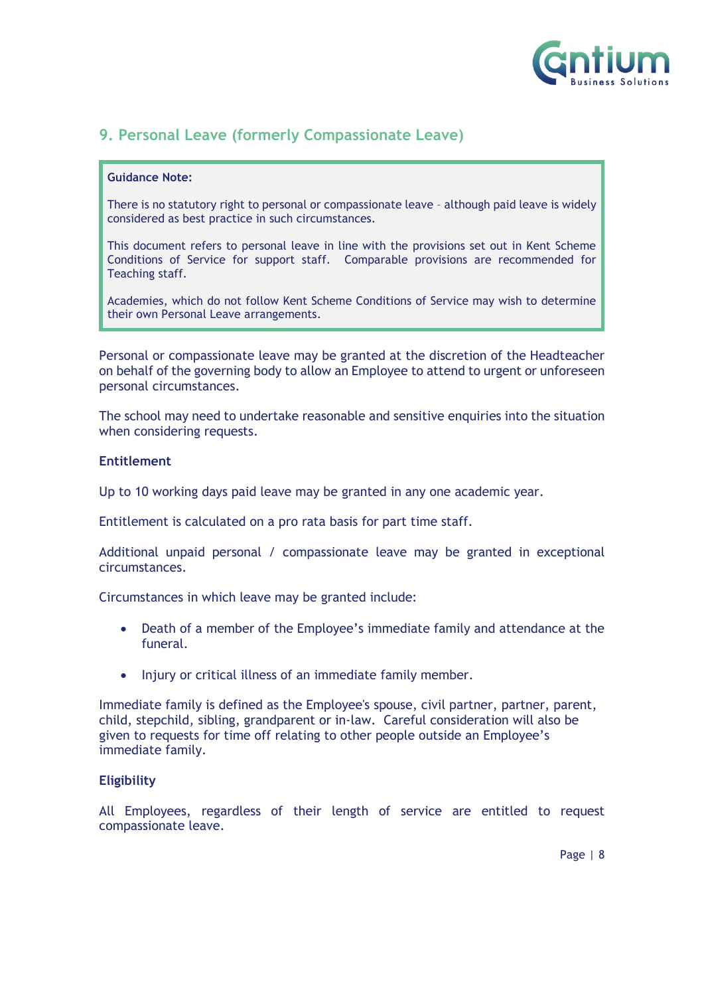

## <span id="page-7-0"></span>**9. Personal Leave (formerly Compassionate Leave)**

#### **Guidance Note:**

There is no statutory right to personal or compassionate leave – although paid leave is widely considered as best practice in such circumstances.

This document refers to personal leave in line with the provisions set out in Kent Scheme Conditions of Service for support staff. Comparable provisions are recommended for Teaching staff.

Academies, which do not follow Kent Scheme Conditions of Service may wish to determine their own Personal Leave arrangements.

Personal or compassionate leave may be granted at the discretion of the Headteacher on behalf of the governing body to allow an Employee to attend to urgent or unforeseen personal circumstances.

The school may need to undertake reasonable and sensitive enquiries into the situation when considering requests.

#### **Entitlement**

Up to 10 working days paid leave may be granted in any one academic year.

Entitlement is calculated on a pro rata basis for part time staff.

Additional unpaid personal / compassionate leave may be granted in exceptional circumstances.

Circumstances in which leave may be granted include:

- Death of a member of the Employee's immediate family and attendance at the funeral.
- Injury or critical illness of an immediate family member.

Immediate family is defined as the Employee's spouse, civil partner, partner, parent, child, stepchild, sibling, grandparent or in-law. Careful consideration will also be given to requests for time off relating to other people outside an Employee's immediate family.

#### **Eligibility**

All Employees, regardless of their length of service are entitled to request compassionate leave.

Page | 8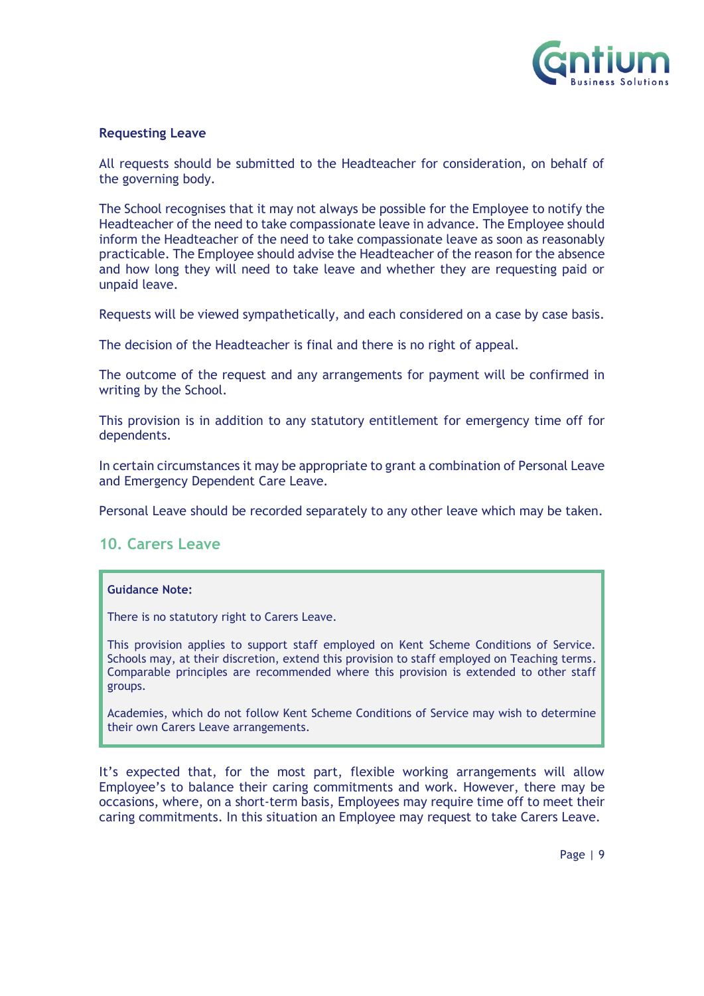

#### **Requesting Leave**

All requests should be submitted to the Headteacher for consideration, on behalf of the governing body.

The School recognises that it may not always be possible for the Employee to notify the Headteacher of the need to take compassionate leave in advance. The Employee should inform the Headteacher of the need to take compassionate leave as soon as reasonably practicable. The Employee should advise the Headteacher of the reason for the absence and how long they will need to take leave and whether they are requesting paid or unpaid leave.

Requests will be viewed sympathetically, and each considered on a case by case basis.

The decision of the Headteacher is final and there is no right of appeal.

The outcome of the request and any arrangements for payment will be confirmed in writing by the School.

This provision is in addition to any statutory entitlement for emergency time off for dependents.

In certain circumstances it may be appropriate to grant a combination of Personal Leave and Emergency Dependent Care Leave.

Personal Leave should be recorded separately to any other leave which may be taken.

## <span id="page-8-0"></span>**10. Carers Leave**

#### **Guidance Note:**

There is no statutory right to Carers Leave.

This provision applies to support staff employed on Kent Scheme Conditions of Service. Schools may, at their discretion, extend this provision to staff employed on Teaching terms. Comparable principles are recommended where this provision is extended to other staff groups.

Academies, which do not follow Kent Scheme Conditions of Service may wish to determine their own Carers Leave arrangements.

It's expected that, for the most part, flexible working arrangements will allow Employee's to balance their caring commitments and work. However, there may be occasions, where, on a short-term basis, Employees may require time off to meet their caring commitments. In this situation an Employee may request to take Carers Leave.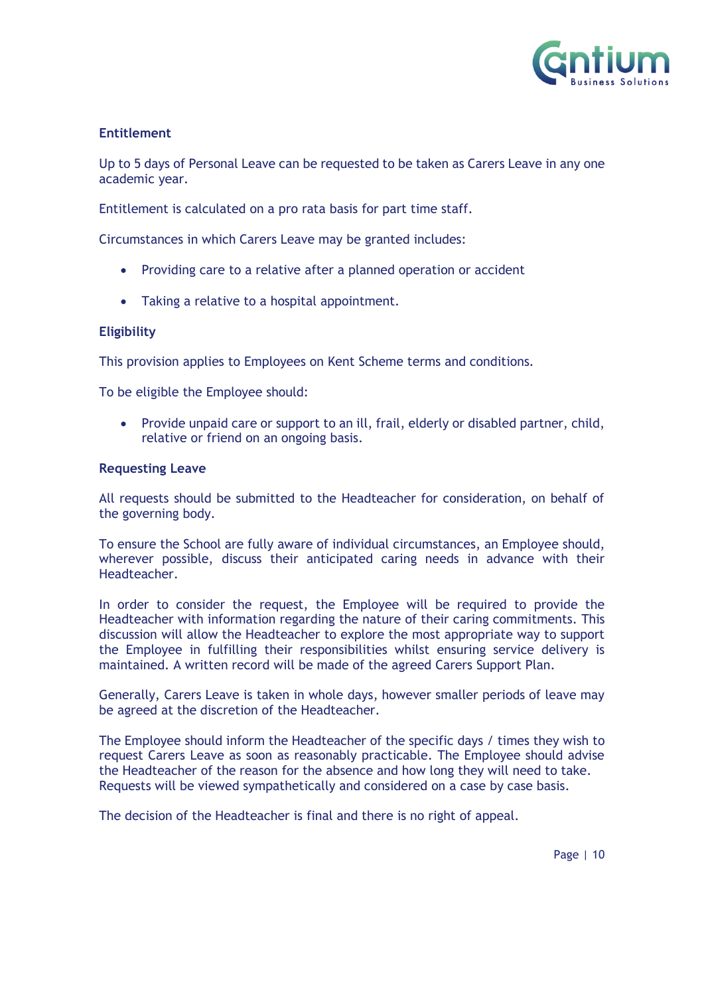

## **Entitlement**

Up to 5 days of Personal Leave can be requested to be taken as Carers Leave in any one academic year.

Entitlement is calculated on a pro rata basis for part time staff.

Circumstances in which Carers Leave may be granted includes:

- Providing care to a relative after a planned operation or accident
- Taking a relative to a hospital appointment.

#### **Eligibility**

This provision applies to Employees on Kent Scheme terms and conditions.

To be eligible the Employee should:

• Provide unpaid care or support to an ill, frail, elderly or disabled partner, child, relative or friend on an ongoing basis.

#### **Requesting Leave**

All requests should be submitted to the Headteacher for consideration, on behalf of the governing body.

To ensure the School are fully aware of individual circumstances, an Employee should, wherever possible, discuss their anticipated caring needs in advance with their Headteacher.

In order to consider the request, the Employee will be required to provide the Headteacher with information regarding the nature of their caring commitments. This discussion will allow the Headteacher to explore the most appropriate way to support the Employee in fulfilling their responsibilities whilst ensuring service delivery is maintained. A written record will be made of the agreed Carers Support Plan.

Generally, Carers Leave is taken in whole days, however smaller periods of leave may be agreed at the discretion of the Headteacher.

The Employee should inform the Headteacher of the specific days / times they wish to request Carers Leave as soon as reasonably practicable. The Employee should advise the Headteacher of the reason for the absence and how long they will need to take. Requests will be viewed sympathetically and considered on a case by case basis.

The decision of the Headteacher is final and there is no right of appeal.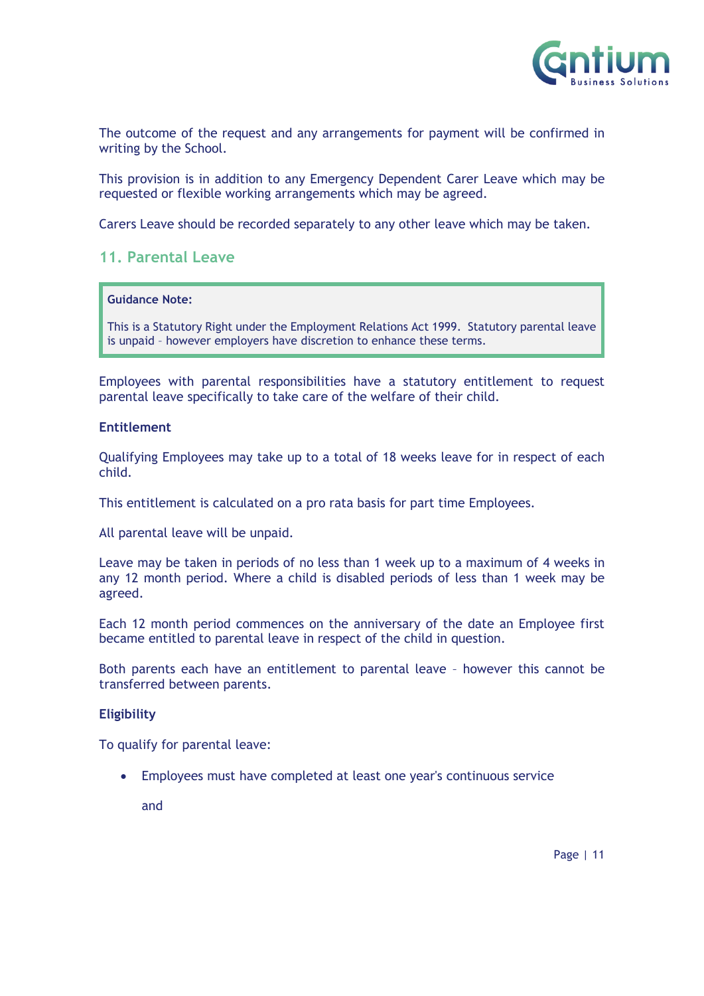

The outcome of the request and any arrangements for payment will be confirmed in writing by the School.

This provision is in addition to any Emergency Dependent Carer Leave which may be requested or flexible working arrangements which may be agreed.

Carers Leave should be recorded separately to any other leave which may be taken.

## <span id="page-10-0"></span>**11. Parental Leave**

#### **Guidance Note:**

This is a Statutory Right under the Employment Relations Act 1999. Statutory parental leave is unpaid – however employers have discretion to enhance these terms.

Employees with parental responsibilities have a statutory entitlement to request parental leave specifically to take care of the welfare of their child.

#### **Entitlement**

Qualifying Employees may take up to a total of 18 weeks leave for in respect of each child.

This entitlement is calculated on a pro rata basis for part time Employees.

All parental leave will be unpaid.

Leave may be taken in periods of no less than 1 week up to a maximum of 4 weeks in any 12 month period. Where a child is disabled periods of less than 1 week may be agreed.

Each 12 month period commences on the anniversary of the date an Employee first became entitled to parental leave in respect of the child in question.

Both parents each have an entitlement to parental leave – however this cannot be transferred between parents.

#### **Eligibility**

To qualify for parental leave:

• Employees must have completed at least one year's continuous service

and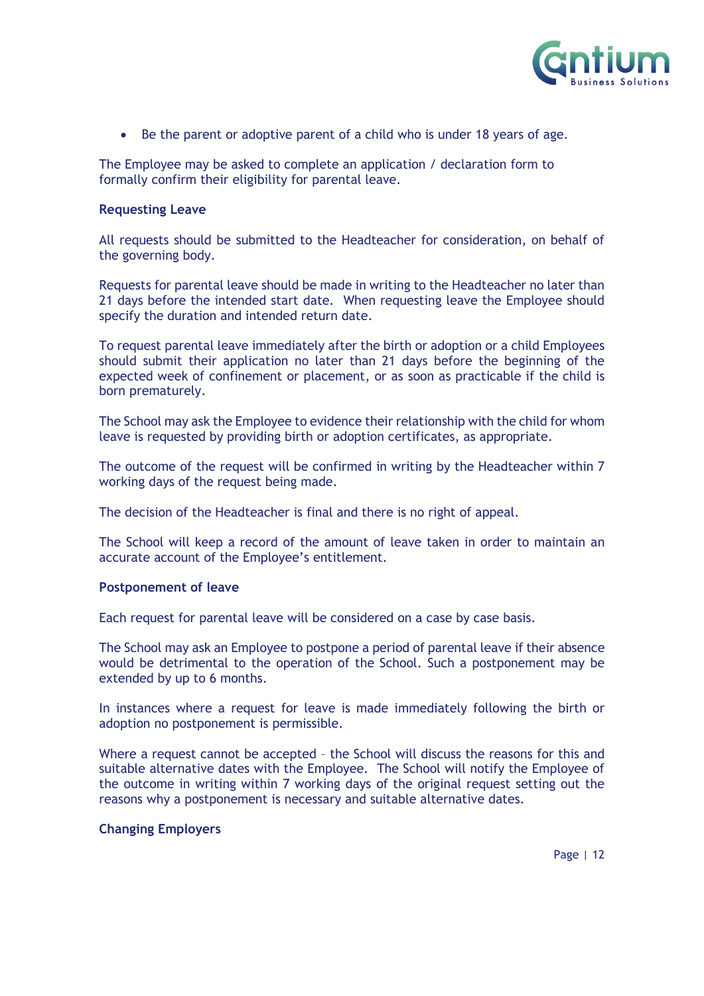

• Be the parent or adoptive parent of a child who is under 18 years of age.

The Employee may be asked to complete an application / declaration form to formally confirm their eligibility for parental leave.

#### **Requesting Leave**

All requests should be submitted to the Headteacher for consideration, on behalf of the governing body.

Requests for parental leave should be made in writing to the Headteacher no later than 21 days before the intended start date. When requesting leave the Employee should specify the duration and intended return date.

To request parental leave immediately after the birth or adoption or a child Employees should submit their application no later than 21 days before the beginning of the expected week of confinement or placement, or as soon as practicable if the child is born prematurely.

The School may ask the Employee to evidence their relationship with the child for whom leave is requested by providing birth or adoption certificates, as appropriate.

The outcome of the request will be confirmed in writing by the Headteacher within 7 working days of the request being made.

The decision of the Headteacher is final and there is no right of appeal.

The School will keep a record of the amount of leave taken in order to maintain an accurate account of the Employee's entitlement.

#### **Postponement of leave**

Each request for parental leave will be considered on a case by case basis.

The School may ask an Employee to postpone a period of parental leave if their absence would be detrimental to the operation of the School. Such a postponement may be extended by up to 6 months.

In instances where a request for leave is made immediately following the birth or adoption no postponement is permissible.

Where a request cannot be accepted – the School will discuss the reasons for this and suitable alternative dates with the Employee. The School will notify the Employee of the outcome in writing within 7 working days of the original request setting out the reasons why a postponement is necessary and suitable alternative dates.

#### **Changing Employers**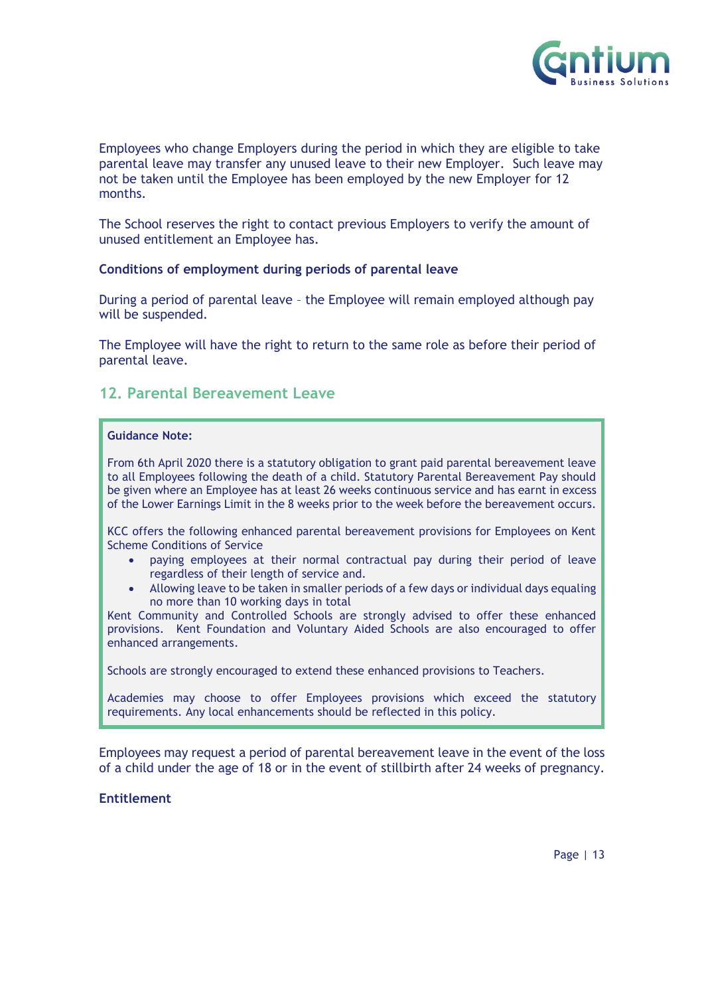

Employees who change Employers during the period in which they are eligible to take parental leave may transfer any unused leave to their new Employer. Such leave may not be taken until the Employee has been employed by the new Employer for 12 months.

The School reserves the right to contact previous Employers to verify the amount of unused entitlement an Employee has.

#### **Conditions of employment during periods of parental leave**

During a period of parental leave – the Employee will remain employed although pay will be suspended.

The Employee will have the right to return to the same role as before their period of parental leave.

## <span id="page-12-0"></span>**12. Parental Bereavement Leave**

#### **Guidance Note:**

From 6th April 2020 there is a statutory obligation to grant paid parental bereavement leave to all Employees following the death of a child. Statutory Parental Bereavement Pay should be given where an Employee has at least 26 weeks continuous service and has earnt in excess of the Lower Earnings Limit in the 8 weeks prior to the week before the bereavement occurs.

KCC offers the following enhanced parental bereavement provisions for Employees on Kent Scheme Conditions of Service

- paying employees at their normal contractual pay during their period of leave regardless of their length of service and.
- Allowing leave to be taken in smaller periods of a few days or individual days equaling no more than 10 working days in total

Kent Community and Controlled Schools are strongly advised to offer these enhanced provisions. Kent Foundation and Voluntary Aided Schools are also encouraged to offer enhanced arrangements.

Schools are strongly encouraged to extend these enhanced provisions to Teachers.

Academies may choose to offer Employees provisions which exceed the statutory requirements. Any local enhancements should be reflected in this policy.

Employees may request a period of parental bereavement leave in the event of the loss of a child under the age of 18 or in the event of stillbirth after 24 weeks of pregnancy.

**Entitlement**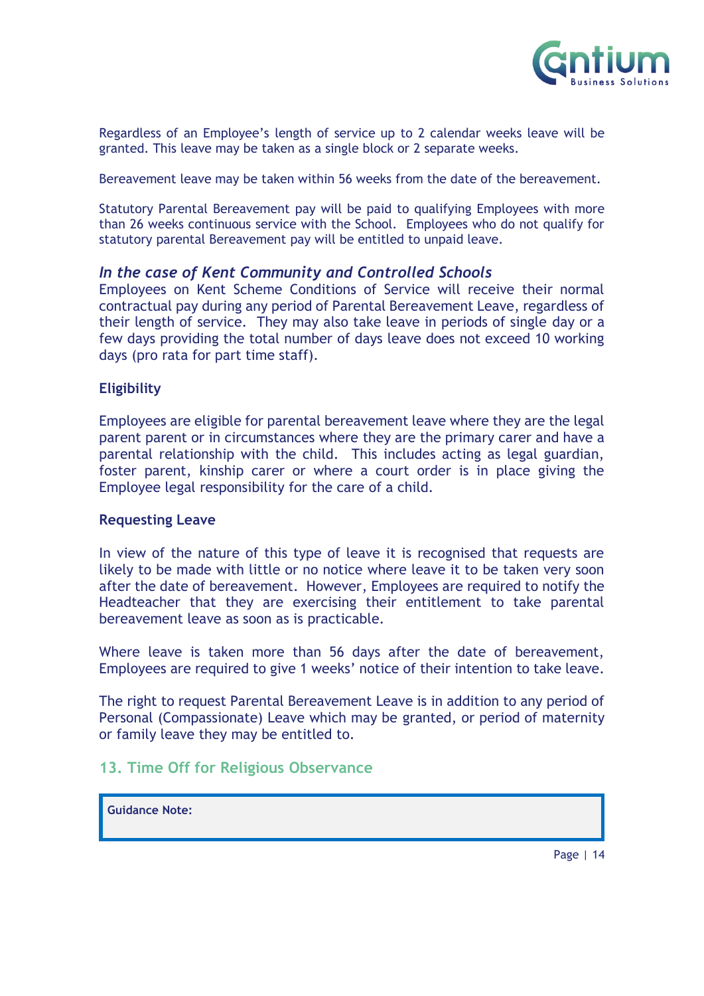

Regardless of an Employee's length of service up to 2 calendar weeks leave will be granted. This leave may be taken as a single block or 2 separate weeks.

Bereavement leave may be taken within 56 weeks from the date of the bereavement.

Statutory Parental Bereavement pay will be paid to qualifying Employees with more than 26 weeks continuous service with the School. Employees who do not qualify for statutory parental Bereavement pay will be entitled to unpaid leave.

## *In the case of Kent Community and Controlled Schools*

Employees on Kent Scheme Conditions of Service will receive their normal contractual pay during any period of Parental Bereavement Leave, regardless of their length of service. They may also take leave in periods of single day or a few days providing the total number of days leave does not exceed 10 working days (pro rata for part time staff).

## **Eligibility**

Employees are eligible for parental bereavement leave where they are the legal parent parent or in circumstances where they are the primary carer and have a parental relationship with the child. This includes acting as legal guardian, foster parent, kinship carer or where a court order is in place giving the Employee legal responsibility for the care of a child.

#### **Requesting Leave**

In view of the nature of this type of leave it is recognised that requests are likely to be made with little or no notice where leave it to be taken very soon after the date of bereavement. However, Employees are required to notify the Headteacher that they are exercising their entitlement to take parental bereavement leave as soon as is practicable.

Where leave is taken more than 56 days after the date of bereavement, Employees are required to give 1 weeks' notice of their intention to take leave.

The right to request Parental Bereavement Leave is in addition to any period of Personal (Compassionate) Leave which may be granted, or period of maternity or family leave they may be entitled to.

## <span id="page-13-0"></span>**13. Time Off for Religious Observance**

**Guidance Note:**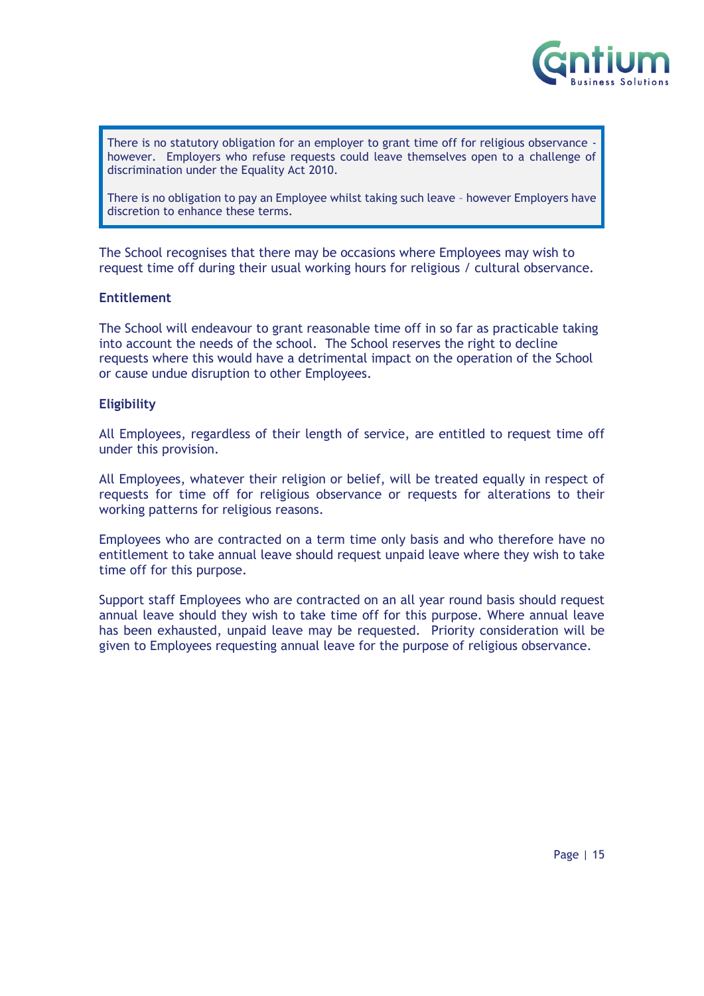

There is no statutory obligation for an employer to grant time off for religious observance however. Employers who refuse requests could leave themselves open to a challenge of discrimination under the Equality Act 2010.

There is no obligation to pay an Employee whilst taking such leave – however Employers have discretion to enhance these terms.

The School recognises that there may be occasions where Employees may wish to request time off during their usual working hours for religious / cultural observance.

#### **Entitlement**

The School will endeavour to grant reasonable time off in so far as practicable taking into account the needs of the school. The School reserves the right to decline requests where this would have a detrimental impact on the operation of the School or cause undue disruption to other Employees.

#### **Eligibility**

All Employees, regardless of their length of service, are entitled to request time off under this provision.

All Employees, whatever their religion or belief, will be treated equally in respect of requests for time off for religious observance or requests for alterations to their working patterns for religious reasons.

Employees who are contracted on a term time only basis and who therefore have no entitlement to take annual leave should request unpaid leave where they wish to take time off for this purpose.

Support staff Employees who are contracted on an all year round basis should request annual leave should they wish to take time off for this purpose. Where annual leave has been exhausted, unpaid leave may be requested. Priority consideration will be given to Employees requesting annual leave for the purpose of religious observance.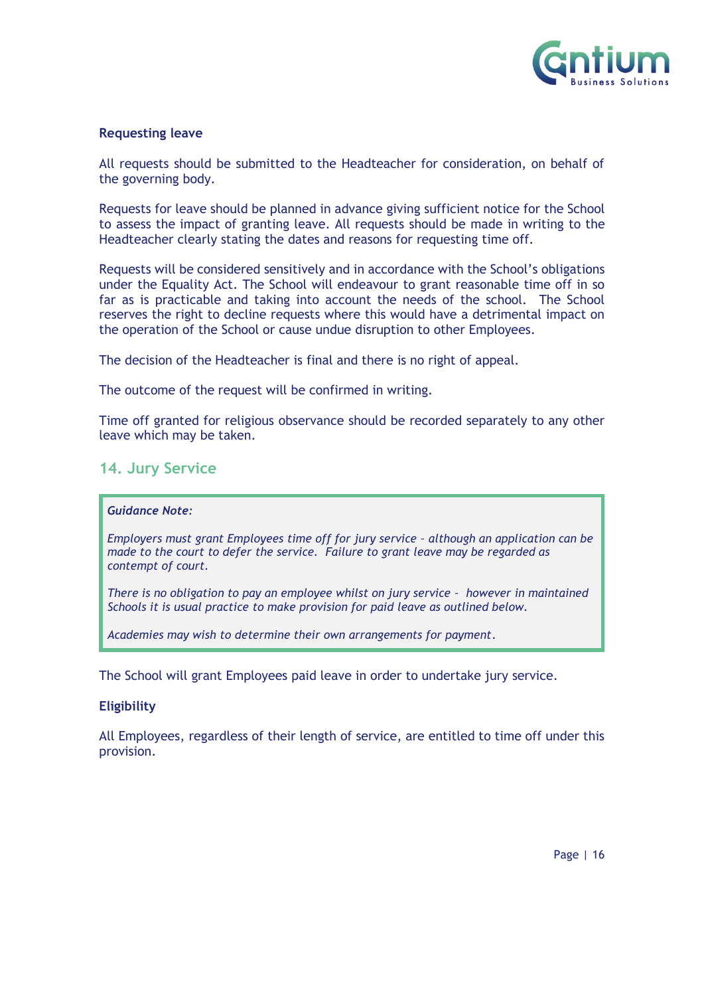

#### **Requesting leave**

All requests should be submitted to the Headteacher for consideration, on behalf of the governing body.

Requests for leave should be planned in advance giving sufficient notice for the School to assess the impact of granting leave. All requests should be made in writing to the Headteacher clearly stating the dates and reasons for requesting time off.

Requests will be considered sensitively and in accordance with the School's obligations under the Equality Act. The School will endeavour to grant reasonable time off in so far as is practicable and taking into account the needs of the school. The School reserves the right to decline requests where this would have a detrimental impact on the operation of the School or cause undue disruption to other Employees.

The decision of the Headteacher is final and there is no right of appeal.

The outcome of the request will be confirmed in writing.

Time off granted for religious observance should be recorded separately to any other leave which may be taken.

## <span id="page-15-0"></span>**14. Jury Service**

#### *Guidance Note:*

*Employers must grant Employees time off for jury service – although an application can be made to the court to defer the service. Failure to grant leave may be regarded as contempt of court.* 

*There is no obligation to pay an employee whilst on jury service – however in maintained Schools it is usual practice to make provision for paid leave as outlined below.*

*Academies may wish to determine their own arrangements for payment*.

The School will grant Employees paid leave in order to undertake jury service.

#### **Eligibility**

All Employees, regardless of their length of service, are entitled to time off under this provision.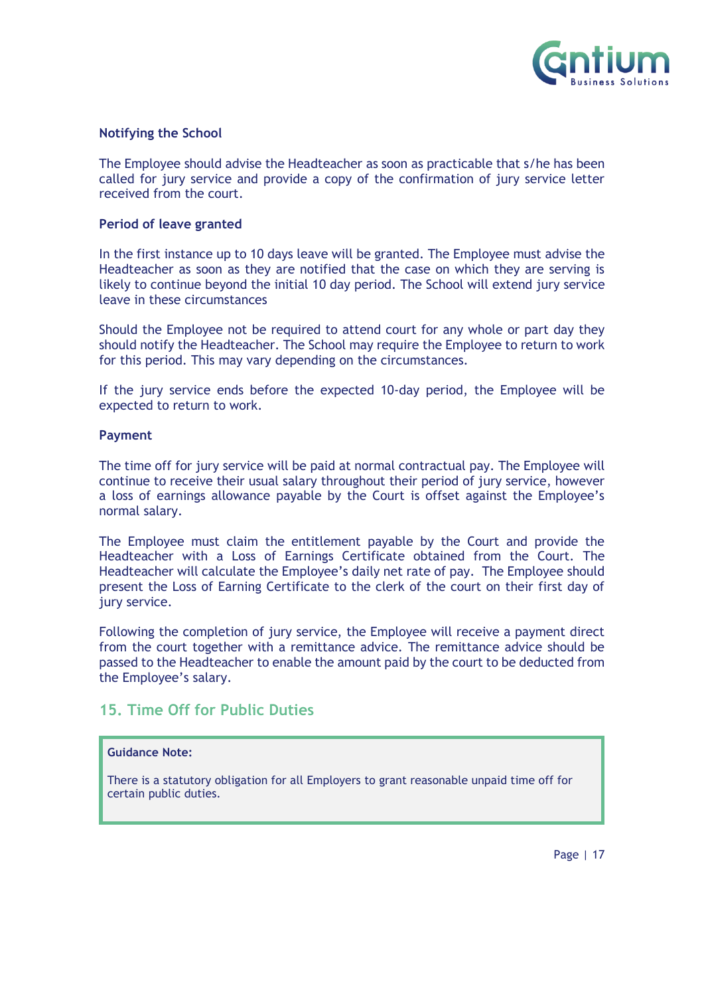

#### **Notifying the School**

The Employee should advise the Headteacher as soon as practicable that s/he has been called for jury service and provide a copy of the confirmation of jury service letter received from the court.

#### **Period of leave granted**

In the first instance up to 10 days leave will be granted. The Employee must advise the Headteacher as soon as they are notified that the case on which they are serving is likely to continue beyond the initial 10 day period. The School will extend jury service leave in these circumstances

Should the Employee not be required to attend court for any whole or part day they should notify the Headteacher. The School may require the Employee to return to work for this period. This may vary depending on the circumstances.

If the jury service ends before the expected 10-day period, the Employee will be expected to return to work.

#### **Payment**

The time off for jury service will be paid at normal contractual pay. The Employee will continue to receive their usual salary throughout their period of jury service, however a loss of earnings allowance payable by the Court is offset against the Employee's normal salary.

The Employee must claim the entitlement payable by the Court and provide the Headteacher with a Loss of Earnings Certificate obtained from the Court. The Headteacher will calculate the Employee's daily net rate of pay. The Employee should present the Loss of Earning Certificate to the clerk of the court on their first day of jury service.

Following the completion of jury service, the Employee will receive a payment direct from the court together with a remittance advice. The remittance advice should be passed to the Headteacher to enable the amount paid by the court to be deducted from the Employee's salary.

## <span id="page-16-0"></span>**15. Time Off for Public Duties**

#### **Guidance Note:**

There is a statutory obligation for all Employers to grant reasonable unpaid time off for certain public duties.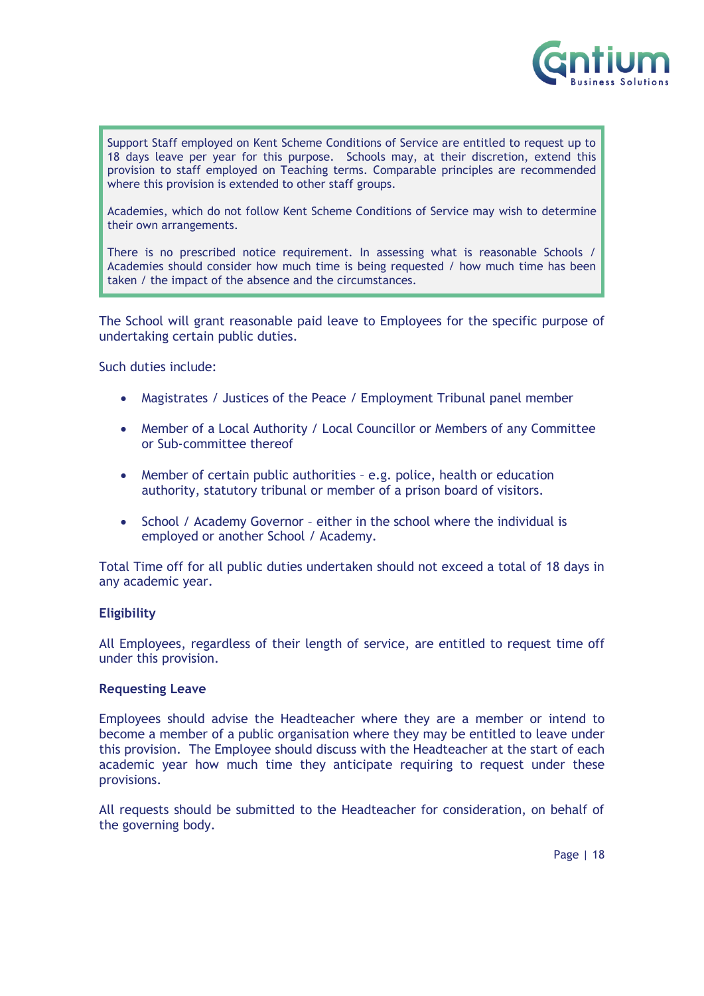

Support Staff employed on Kent Scheme Conditions of Service are entitled to request up to 18 days leave per year for this purpose. Schools may, at their discretion, extend this provision to staff employed on Teaching terms. Comparable principles are recommended where this provision is extended to other staff groups.

Academies, which do not follow Kent Scheme Conditions of Service may wish to determine their own arrangements.

There is no prescribed notice requirement. In assessing what is reasonable Schools / Academies should consider how much time is being requested / how much time has been taken / the impact of the absence and the circumstances.

The School will grant reasonable paid leave to Employees for the specific purpose of undertaking certain public duties.

Such duties include:

- Magistrates / Justices of the Peace / Employment Tribunal panel member
- Member of a Local Authority / Local Councillor or Members of any Committee or Sub-committee thereof
- Member of certain public authorities e.g. police, health or education authority, statutory tribunal or member of a prison board of visitors.
- School / Academy Governor either in the school where the individual is employed or another School / Academy.

Total Time off for all public duties undertaken should not exceed a total of 18 days in any academic year.

#### **Eligibility**

All Employees, regardless of their length of service, are entitled to request time off under this provision.

#### **Requesting Leave**

Employees should advise the Headteacher where they are a member or intend to become a member of a public organisation where they may be entitled to leave under this provision. The Employee should discuss with the Headteacher at the start of each academic year how much time they anticipate requiring to request under these provisions.

All requests should be submitted to the Headteacher for consideration, on behalf of the governing body.

Page | 18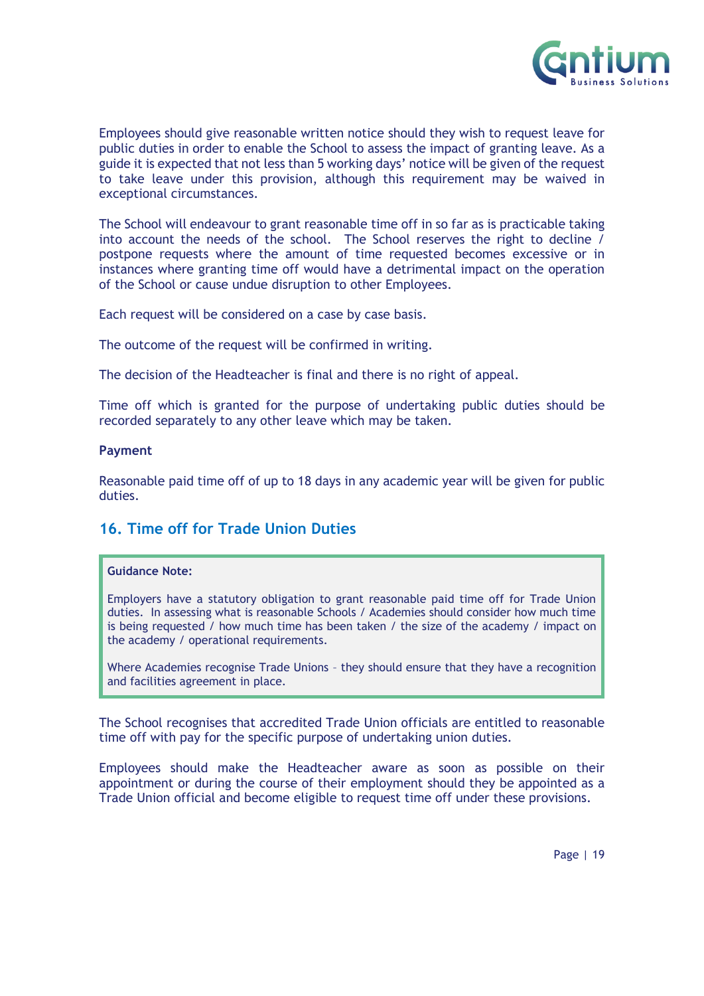

Employees should give reasonable written notice should they wish to request leave for public duties in order to enable the School to assess the impact of granting leave. As a guide it is expected that not less than 5 working days' notice will be given of the request to take leave under this provision, although this requirement may be waived in exceptional circumstances.

The School will endeavour to grant reasonable time off in so far as is practicable taking into account the needs of the school. The School reserves the right to decline / postpone requests where the amount of time requested becomes excessive or in instances where granting time off would have a detrimental impact on the operation of the School or cause undue disruption to other Employees.

Each request will be considered on a case by case basis.

The outcome of the request will be confirmed in writing.

The decision of the Headteacher is final and there is no right of appeal.

Time off which is granted for the purpose of undertaking public duties should be recorded separately to any other leave which may be taken.

#### **Payment**

Reasonable paid time off of up to 18 days in any academic year will be given for public duties.

## <span id="page-18-0"></span>**16. Time off for Trade Union Duties**

#### **Guidance Note:**

Employers have a statutory obligation to grant reasonable paid time off for Trade Union duties. In assessing what is reasonable Schools / Academies should consider how much time is being requested / how much time has been taken / the size of the academy / impact on the academy / operational requirements.

Where Academies recognise Trade Unions – they should ensure that they have a recognition and facilities agreement in place.

The School recognises that accredited Trade Union officials are entitled to reasonable time off with pay for the specific purpose of undertaking union duties.

Employees should make the Headteacher aware as soon as possible on their appointment or during the course of their employment should they be appointed as a Trade Union official and become eligible to request time off under these provisions.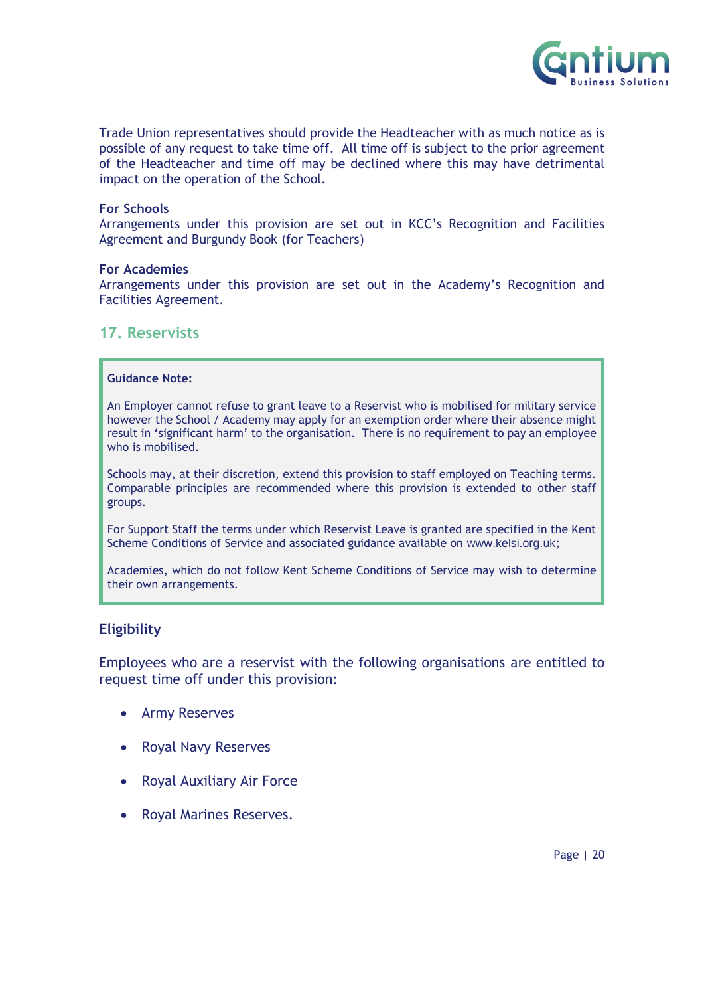

Trade Union representatives should provide the Headteacher with as much notice as is possible of any request to take time off. All time off is subject to the prior agreement of the Headteacher and time off may be declined where this may have detrimental impact on the operation of the School.

#### **For Schools**

Arrangements under this provision are set out in KCC's Recognition and Facilities Agreement and Burgundy Book (for Teachers)

#### **For Academies**

Arrangements under this provision are set out in the Academy's Recognition and Facilities Agreement.

## <span id="page-19-0"></span>**17. Reservists**

#### **Guidance Note:**

An Employer cannot refuse to grant leave to a Reservist who is mobilised for military service however the School / Academy may apply for an exemption order where their absence might result in 'significant harm' to the organisation. There is no requirement to pay an employee who is mobilised.

Schools may, at their discretion, extend this provision to staff employed on Teaching terms. Comparable principles are recommended where this provision is extended to other staff groups.

For Support Staff the terms under which Reservist Leave is granted are specified in the Kent Scheme Conditions of Service and associated guidance available on [www.kelsi.org.uk](http://www.kelsi.org.uk/);

Academies, which do not follow Kent Scheme Conditions of Service may wish to determine their own arrangements.

## **Eligibility**

Employees who are a reservist with the following organisations are entitled to request time off under this provision:

- Army Reserves
- Royal Navy Reserves
- Royal Auxiliary Air Force
- Royal Marines Reserves.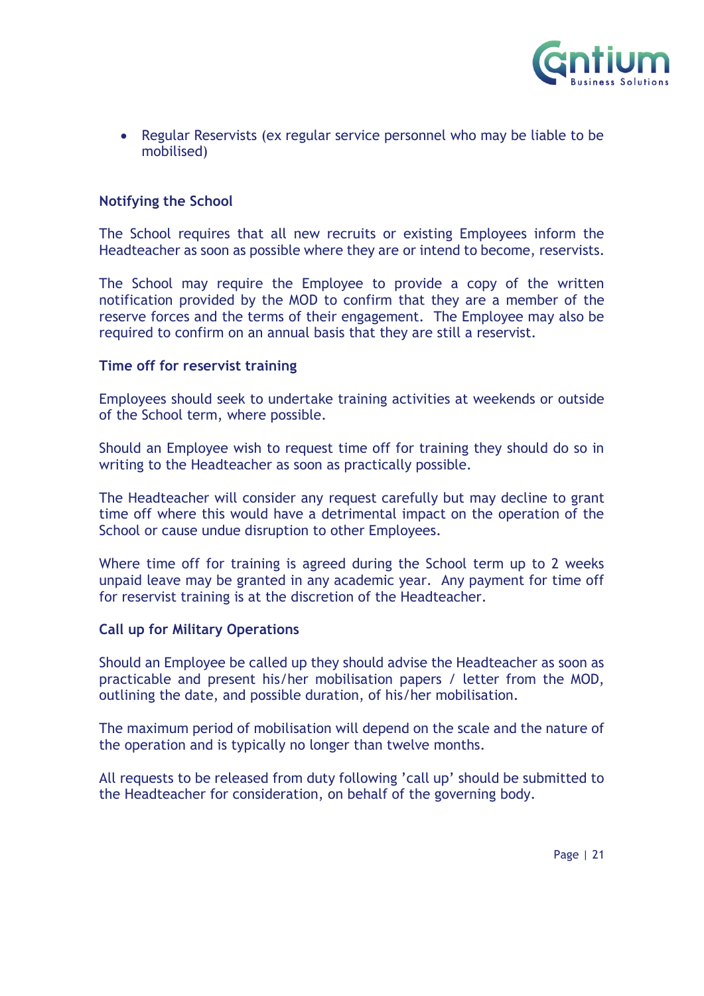

• Regular Reservists (ex regular service personnel who may be liable to be mobilised)

## **Notifying the School**

The School requires that all new recruits or existing Employees inform the Headteacher as soon as possible where they are or intend to become, reservists.

The School may require the Employee to provide a copy of the written notification provided by the MOD to confirm that they are a member of the reserve forces and the terms of their engagement. The Employee may also be required to confirm on an annual basis that they are still a reservist.

## **Time off for reservist training**

Employees should seek to undertake training activities at weekends or outside of the School term, where possible.

Should an Employee wish to request time off for training they should do so in writing to the Headteacher as soon as practically possible.

The Headteacher will consider any request carefully but may decline to grant time off where this would have a detrimental impact on the operation of the School or cause undue disruption to other Employees.

Where time off for training is agreed during the School term up to 2 weeks unpaid leave may be granted in any academic year. Any payment for time off for reservist training is at the discretion of the Headteacher.

## **Call up for Military Operations**

Should an Employee be called up they should advise the Headteacher as soon as practicable and present his/her mobilisation papers / letter from the MOD, outlining the date, and possible duration, of his/her mobilisation.

The maximum period of mobilisation will depend on the scale and the nature of the operation and is typically no longer than twelve months.

All requests to be released from duty following 'call up' should be submitted to the Headteacher for consideration, on behalf of the governing body.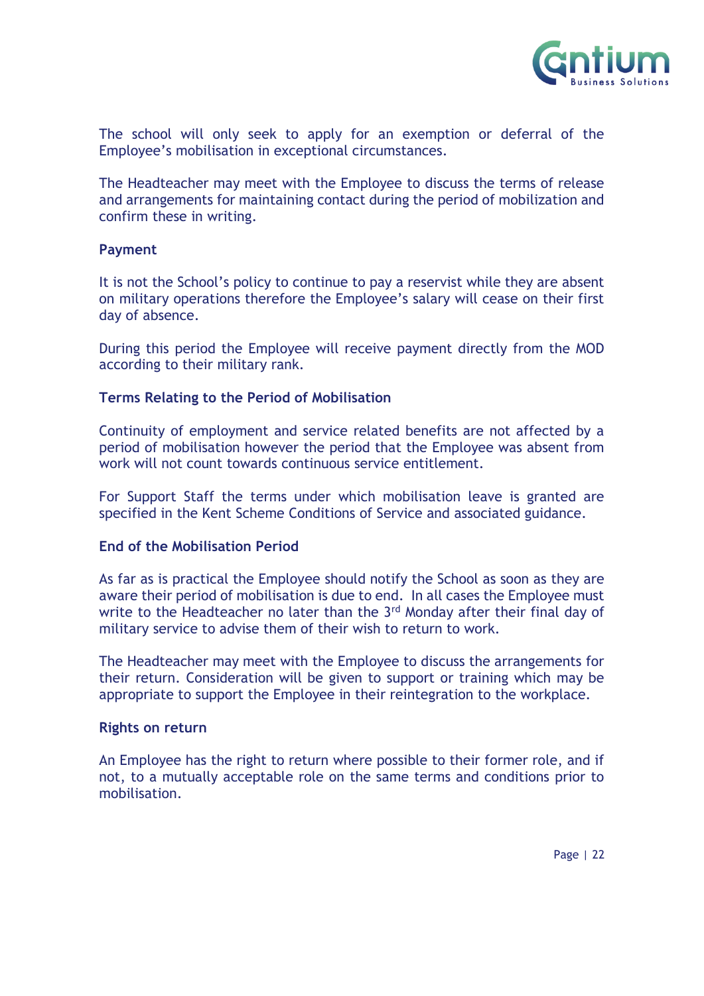

The school will only seek to apply for an exemption or deferral of the Employee's mobilisation in exceptional circumstances.

The Headteacher may meet with the Employee to discuss the terms of release and arrangements for maintaining contact during the period of mobilization and confirm these in writing.

#### **Payment**

It is not the School's policy to continue to pay a reservist while they are absent on military operations therefore the Employee's salary will cease on their first day of absence.

During this period the Employee will receive payment directly from the MOD according to their military rank.

## **Terms Relating to the Period of Mobilisation**

Continuity of employment and service related benefits are not affected by a period of mobilisation however the period that the Employee was absent from work will not count towards continuous service entitlement.

For Support Staff the terms under which mobilisation leave is granted are specified in the Kent Scheme Conditions of Service and associated guidance.

#### **End of the Mobilisation Period**

As far as is practical the Employee should notify the School as soon as they are aware their period of mobilisation is due to end. In all cases the Employee must write to the Headteacher no later than the 3<sup>rd</sup> Monday after their final day of military service to advise them of their wish to return to work.

The Headteacher may meet with the Employee to discuss the arrangements for their return. Consideration will be given to support or training which may be appropriate to support the Employee in their reintegration to the workplace.

#### **Rights on return**

An Employee has the right to return where possible to their former role, and if not, to a mutually acceptable role on the same terms and conditions prior to mobilisation.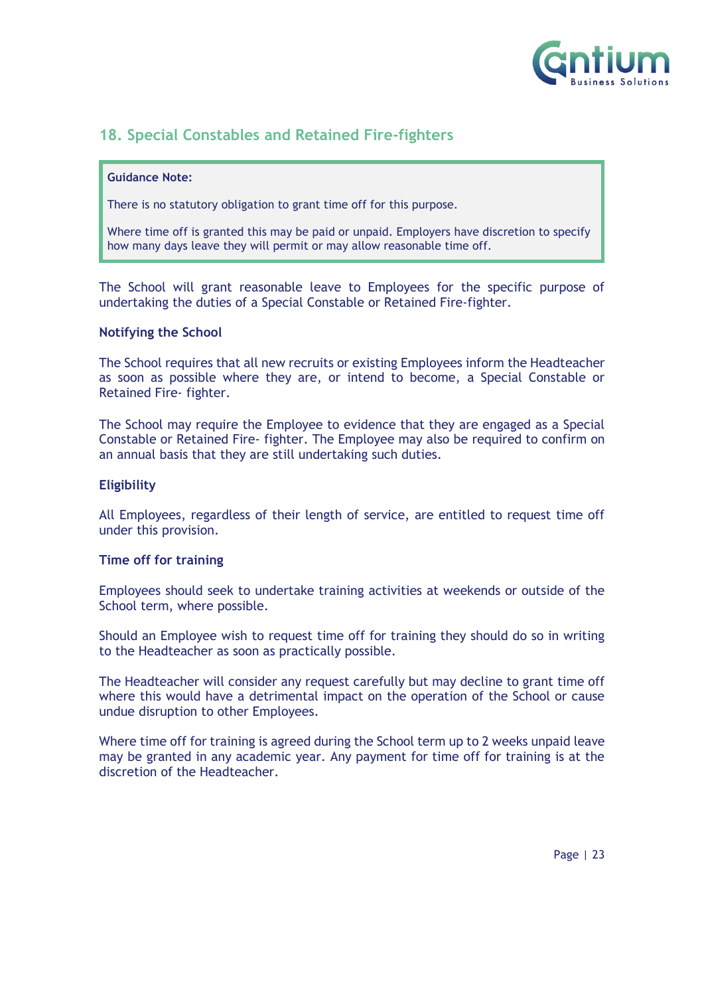

## <span id="page-22-0"></span>**18. Special Constables and Retained Fire-fighters**

#### **Guidance Note:**

There is no statutory obligation to grant time off for this purpose.

Where time off is granted this may be paid or unpaid. Employers have discretion to specify how many days leave they will permit or may allow reasonable time off.

The School will grant reasonable leave to Employees for the specific purpose of undertaking the duties of a Special Constable or Retained Fire-fighter.

#### **Notifying the School**

The School requires that all new recruits or existing Employees inform the Headteacher as soon as possible where they are, or intend to become, a Special Constable or Retained Fire- fighter.

The School may require the Employee to evidence that they are engaged as a Special Constable or Retained Fire- fighter. The Employee may also be required to confirm on an annual basis that they are still undertaking such duties.

#### **Eligibility**

All Employees, regardless of their length of service, are entitled to request time off under this provision.

#### **Time off for training**

Employees should seek to undertake training activities at weekends or outside of the School term, where possible.

Should an Employee wish to request time off for training they should do so in writing to the Headteacher as soon as practically possible.

The Headteacher will consider any request carefully but may decline to grant time off where this would have a detrimental impact on the operation of the School or cause undue disruption to other Employees.

Where time off for training is agreed during the School term up to 2 weeks unpaid leave may be granted in any academic year. Any payment for time off for training is at the discretion of the Headteacher.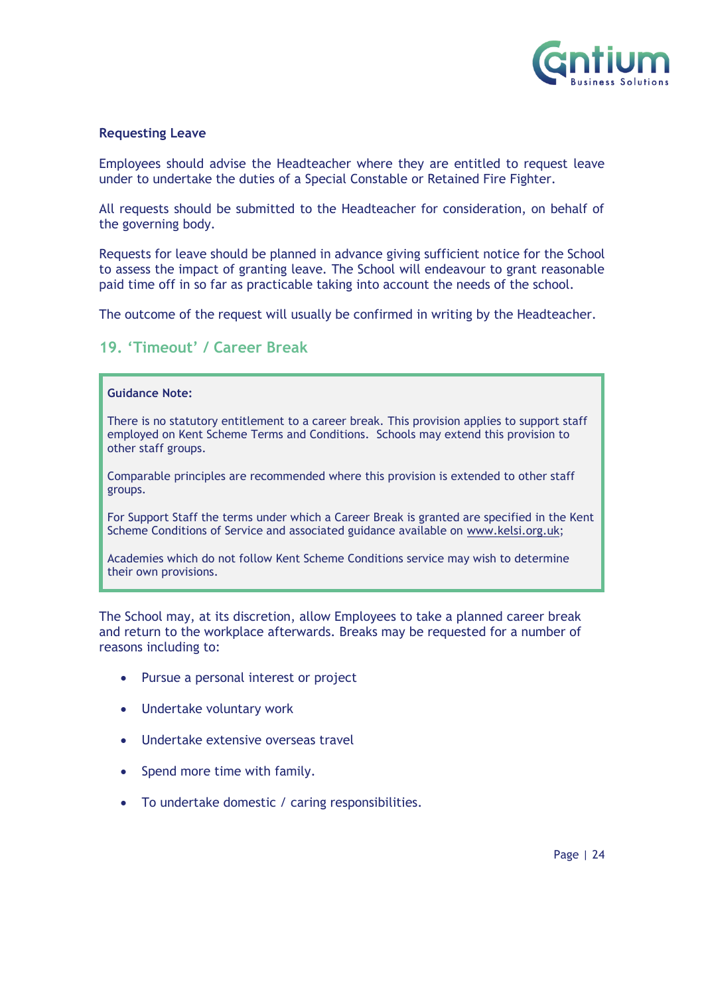

#### **Requesting Leave**

Employees should advise the Headteacher where they are entitled to request leave under to undertake the duties of a Special Constable or Retained Fire Fighter.

All requests should be submitted to the Headteacher for consideration, on behalf of the governing body.

Requests for leave should be planned in advance giving sufficient notice for the School to assess the impact of granting leave. The School will endeavour to grant reasonable paid time off in so far as practicable taking into account the needs of the school.

The outcome of the request will usually be confirmed in writing by the Headteacher.

## <span id="page-23-0"></span>**19. 'Timeout' / Career Break**

#### **Guidance Note:**

There is no statutory entitlement to a career break. This provision applies to support staff employed on Kent Scheme Terms and Conditions. Schools may extend this provision to other staff groups.

Comparable principles are recommended where this provision is extended to other staff groups.

For Support Staff the terms under which a Career Break is granted are specified in the Kent Scheme Conditions of Service and associated guidance available on [www.kelsi.org.uk;](http://www.kelsi.org.uk/)

Academies which do not follow Kent Scheme Conditions service may wish to determine their own provisions.

The School may, at its discretion, allow Employees to take a planned career break and return to the workplace afterwards. Breaks may be requested for a number of reasons including to:

- Pursue a personal interest or project
- Undertake voluntary work
- Undertake extensive overseas travel
- Spend more time with family.
- To undertake domestic / caring responsibilities.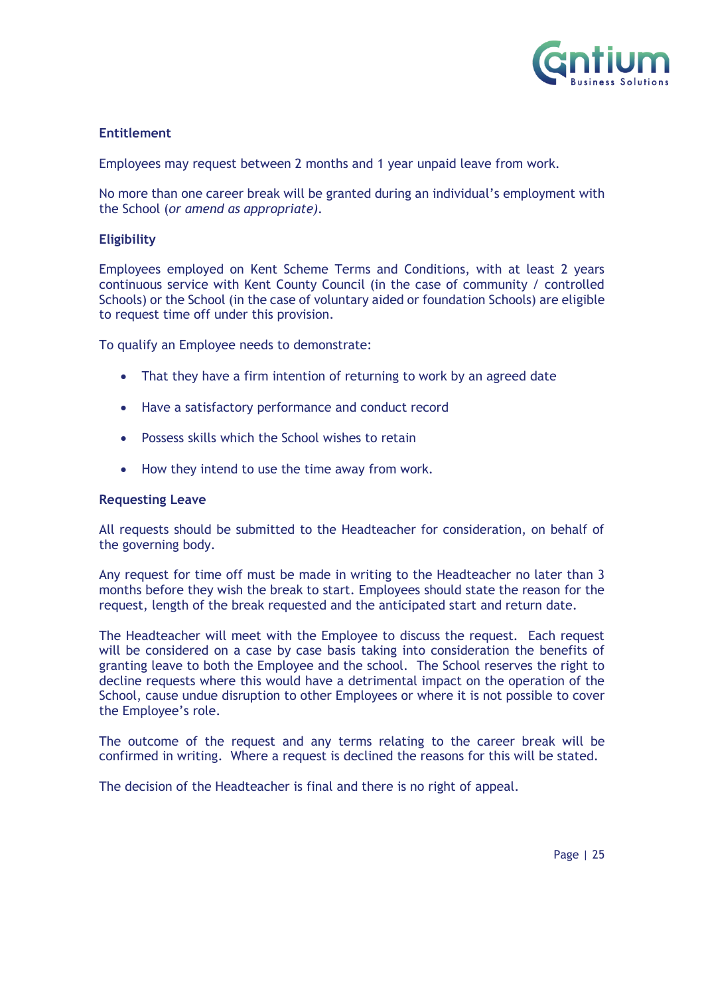

## **Entitlement**

Employees may request between 2 months and 1 year unpaid leave from work.

No more than one career break will be granted during an individual's employment with the School (*or amend as appropriate).*

#### **Eligibility**

Employees employed on Kent Scheme Terms and Conditions, with at least 2 years continuous service with Kent County Council (in the case of community / controlled Schools) or the School (in the case of voluntary aided or foundation Schools) are eligible to request time off under this provision.

To qualify an Employee needs to demonstrate:

- That they have a firm intention of returning to work by an agreed date
- Have a satisfactory performance and conduct record
- Possess skills which the School wishes to retain
- How they intend to use the time away from work.

#### **Requesting Leave**

All requests should be submitted to the Headteacher for consideration, on behalf of the governing body.

Any request for time off must be made in writing to the Headteacher no later than 3 months before they wish the break to start. Employees should state the reason for the request, length of the break requested and the anticipated start and return date.

The Headteacher will meet with the Employee to discuss the request. Each request will be considered on a case by case basis taking into consideration the benefits of granting leave to both the Employee and the school. The School reserves the right to decline requests where this would have a detrimental impact on the operation of the School, cause undue disruption to other Employees or where it is not possible to cover the Employee's role.

The outcome of the request and any terms relating to the career break will be confirmed in writing. Where a request is declined the reasons for this will be stated.

The decision of the Headteacher is final and there is no right of appeal.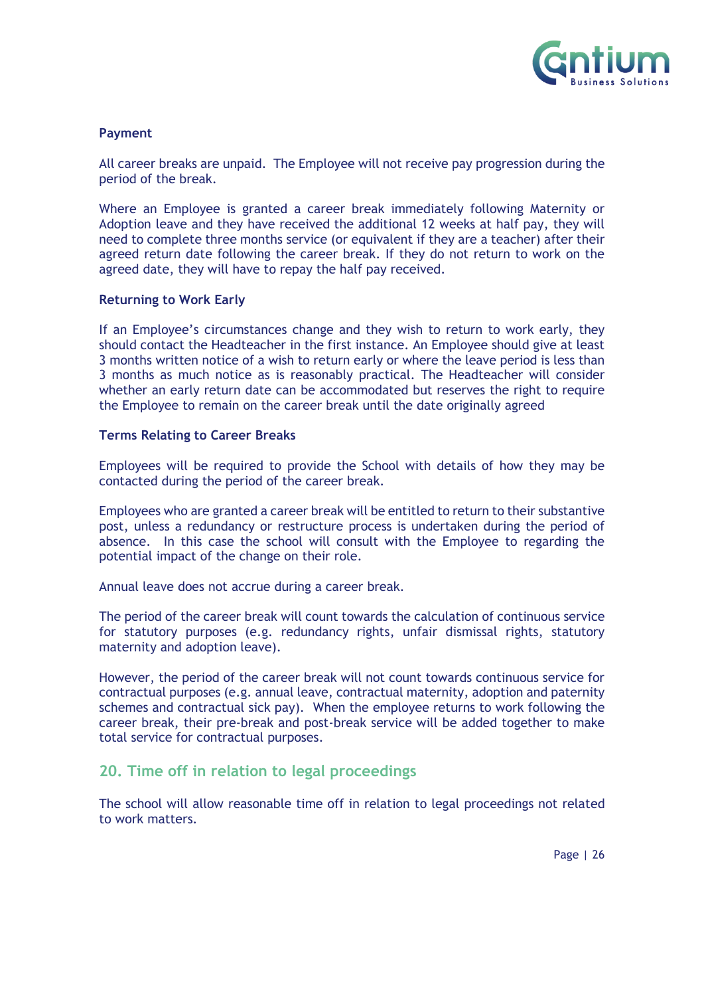

#### **Payment**

All career breaks are unpaid. The Employee will not receive pay progression during the period of the break.

Where an Employee is granted a career break immediately following Maternity or Adoption leave and they have received the additional 12 weeks at half pay, they will need to complete three months service (or equivalent if they are a teacher) after their agreed return date following the career break. If they do not return to work on the agreed date, they will have to repay the half pay received.

#### **Returning to Work Early**

If an Employee's circumstances change and they wish to return to work early, they should contact the Headteacher in the first instance. An Employee should give at least 3 months written notice of a wish to return early or where the leave period is less than 3 months as much notice as is reasonably practical. The Headteacher will consider whether an early return date can be accommodated but reserves the right to require the Employee to remain on the career break until the date originally agreed

#### **Terms Relating to Career Breaks**

Employees will be required to provide the School with details of how they may be contacted during the period of the career break.

Employees who are granted a career break will be entitled to return to their substantive post, unless a redundancy or restructure process is undertaken during the period of absence. In this case the school will consult with the Employee to regarding the potential impact of the change on their role.

Annual leave does not accrue during a career break.

The period of the career break will count towards the calculation of continuous service for statutory purposes (e.g. redundancy rights, unfair dismissal rights, statutory maternity and adoption leave).

However, the period of the career break will not count towards continuous service for contractual purposes (e.g. annual leave, contractual maternity, adoption and paternity schemes and contractual sick pay). When the employee returns to work following the career break, their pre-break and post-break service will be added together to make total service for contractual purposes.

## <span id="page-25-0"></span>**20. Time off in relation to legal proceedings**

The school will allow reasonable time off in relation to legal proceedings not related to work matters.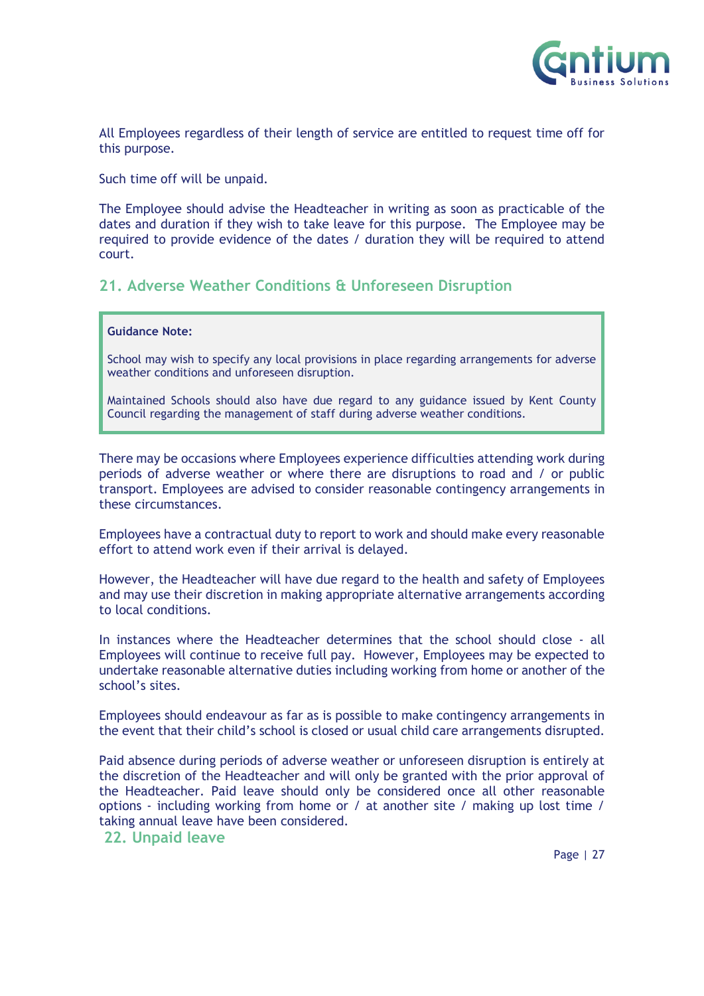

All Employees regardless of their length of service are entitled to request time off for this purpose.

Such time off will be unpaid.

The Employee should advise the Headteacher in writing as soon as practicable of the dates and duration if they wish to take leave for this purpose. The Employee may be required to provide evidence of the dates / duration they will be required to attend court.

## <span id="page-26-0"></span>**21. Adverse Weather Conditions & Unforeseen Disruption**

#### **Guidance Note:**

School may wish to specify any local provisions in place regarding arrangements for adverse weather conditions and unforeseen disruption.

Maintained Schools should also have due regard to any guidance issued by Kent County Council regarding the management of staff during adverse weather conditions.

There may be occasions where Employees experience difficulties attending work during periods of adverse weather or where there are disruptions to road and / or public transport. Employees are advised to consider reasonable contingency arrangements in these circumstances.

Employees have a contractual duty to report to work and should make every reasonable effort to attend work even if their arrival is delayed.

However, the Headteacher will have due regard to the health and safety of Employees and may use their discretion in making appropriate alternative arrangements according to local conditions.

In instances where the Headteacher determines that the school should close - all Employees will continue to receive full pay. However, Employees may be expected to undertake reasonable alternative duties including working from home or another of the school's sites.

Employees should endeavour as far as is possible to make contingency arrangements in the event that their child's school is closed or usual child care arrangements disrupted.

Paid absence during periods of adverse weather or unforeseen disruption is entirely at the discretion of the Headteacher and will only be granted with the prior approval of the Headteacher. Paid leave should only be considered once all other reasonable options - including working from home or / at another site / making up lost time / taking annual leave have been considered.

## <span id="page-26-1"></span>**22. Unpaid leave**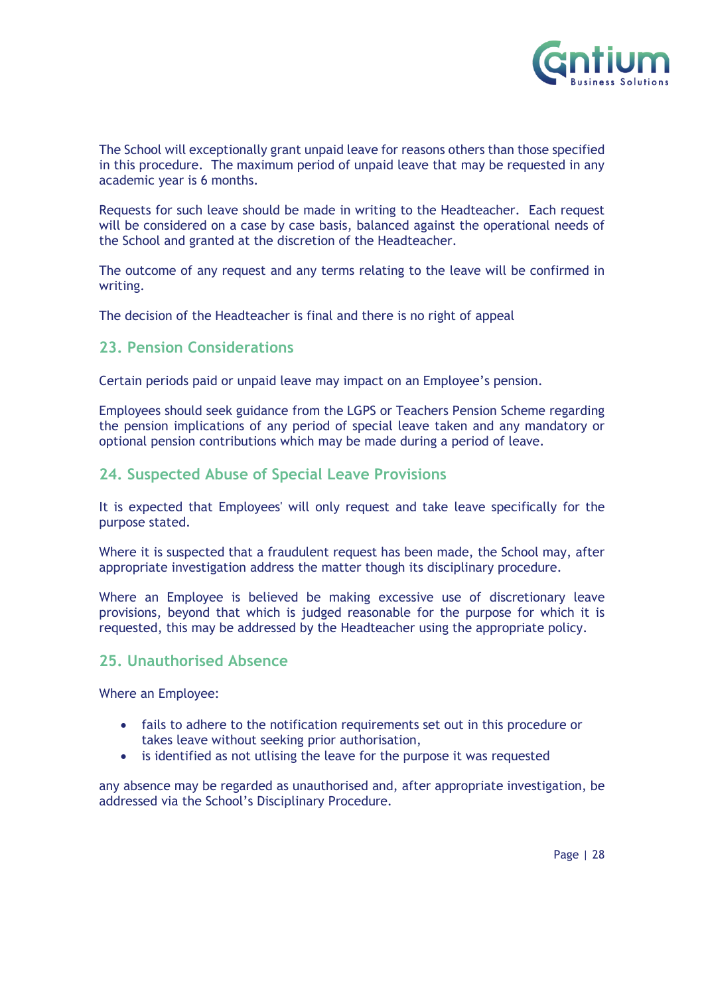

The School will exceptionally grant unpaid leave for reasons others than those specified in this procedure. The maximum period of unpaid leave that may be requested in any academic year is 6 months.

Requests for such leave should be made in writing to the Headteacher. Each request will be considered on a case by case basis, balanced against the operational needs of the School and granted at the discretion of the Headteacher.

The outcome of any request and any terms relating to the leave will be confirmed in writing.

The decision of the Headteacher is final and there is no right of appeal

## <span id="page-27-0"></span>**23. Pension Considerations**

Certain periods paid or unpaid leave may impact on an Employee's pension.

Employees should seek guidance from the LGPS or Teachers Pension Scheme regarding the pension implications of any period of special leave taken and any mandatory or optional pension contributions which may be made during a period of leave.

## <span id="page-27-1"></span>**24. Suspected Abuse of Special Leave Provisions**

It is expected that Employees' will only request and take leave specifically for the purpose stated.

Where it is suspected that a fraudulent request has been made, the School may, after appropriate investigation address the matter though its disciplinary procedure.

Where an Employee is believed be making excessive use of discretionary leave provisions, beyond that which is judged reasonable for the purpose for which it is requested, this may be addressed by the Headteacher using the appropriate policy.

## <span id="page-27-2"></span>**25. Unauthorised Absence**

Where an Employee:

- fails to adhere to the notification requirements set out in this procedure or takes leave without seeking prior authorisation,
- is identified as not utlising the leave for the purpose it was requested

any absence may be regarded as unauthorised and, after appropriate investigation, be addressed via the School's Disciplinary Procedure.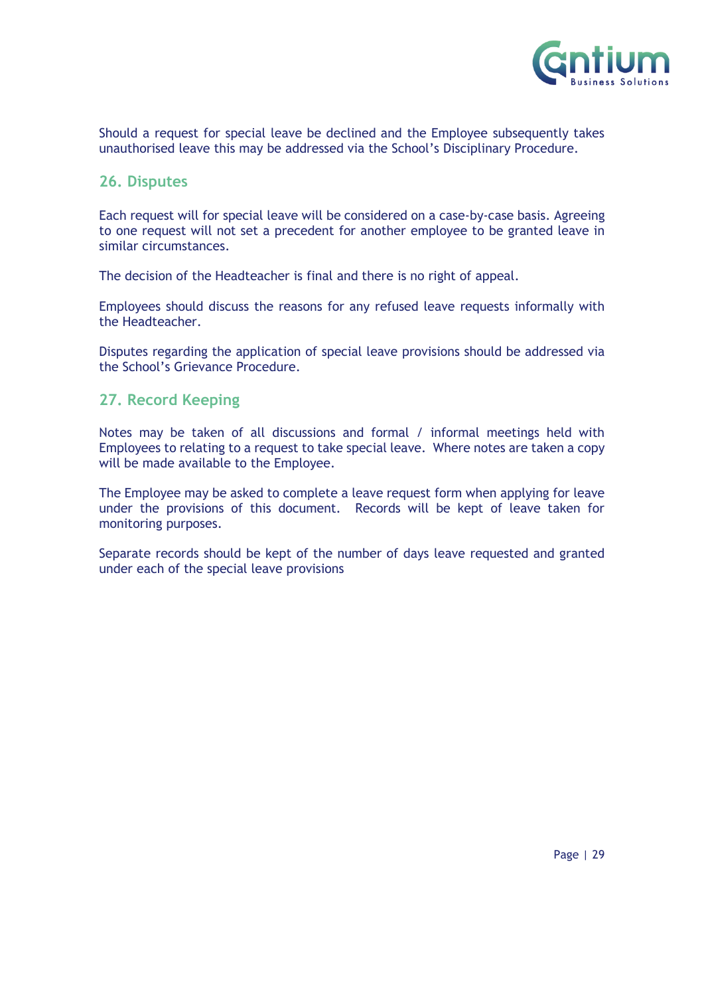

Should a request for special leave be declined and the Employee subsequently takes unauthorised leave this may be addressed via the School's Disciplinary Procedure.

## <span id="page-28-0"></span>**26. Disputes**

Each request will for special leave will be considered on a case-by-case basis. Agreeing to one request will not set a precedent for another employee to be granted leave in similar circumstances.

The decision of the Headteacher is final and there is no right of appeal.

Employees should discuss the reasons for any refused leave requests informally with the Headteacher.

Disputes regarding the application of special leave provisions should be addressed via the School's Grievance Procedure.

## <span id="page-28-1"></span>**27. Record Keeping**

Notes may be taken of all discussions and formal / informal meetings held with Employees to relating to a request to take special leave. Where notes are taken a copy will be made available to the Employee.

The Employee may be asked to complete a leave request form when applying for leave under the provisions of this document. Records will be kept of leave taken for monitoring purposes.

<span id="page-28-2"></span>Separate records should be kept of the number of days leave requested and granted under each of the special leave provisions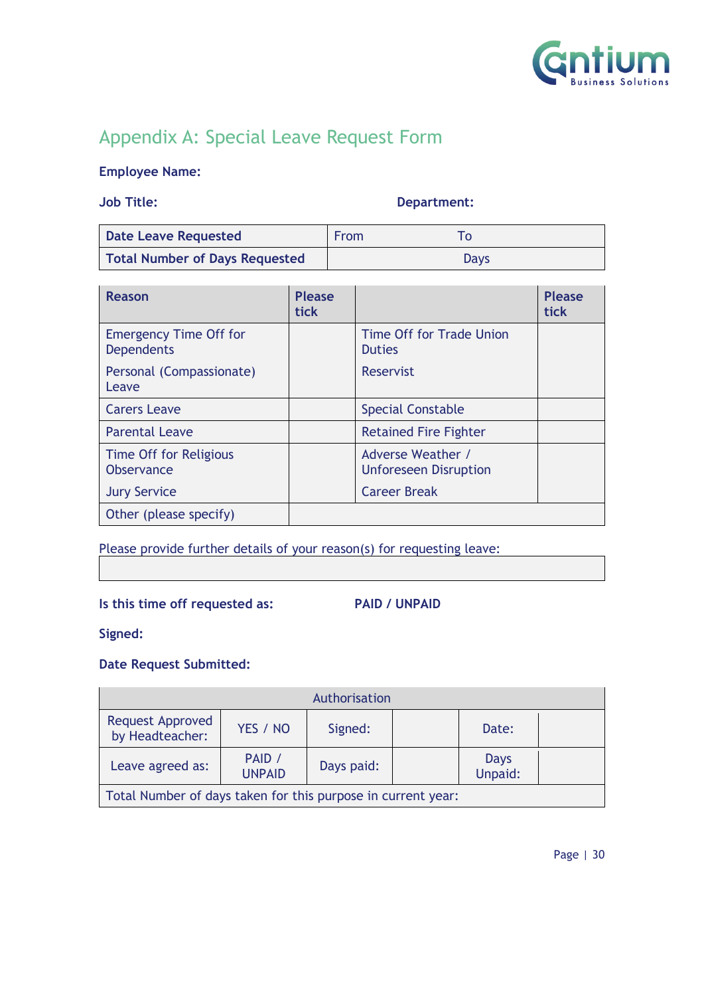

# Appendix A: Special Leave Request Form

## **Employee Name:**

## **Job Title: Department:**

| <b>Date Leave Requested</b>           | <b>From</b> |      |
|---------------------------------------|-------------|------|
| <b>Total Number of Days Requested</b> |             | Days |

| Reason                                             | <b>Please</b><br><b>tick</b> |                                                   | <b>Please</b><br>tick |
|----------------------------------------------------|------------------------------|---------------------------------------------------|-----------------------|
| <b>Emergency Time Off for</b><br><b>Dependents</b> |                              | Time Off for Trade Union<br><b>Duties</b>         |                       |
| Personal (Compassionate)<br>Leave                  |                              | Reservist                                         |                       |
| <b>Carers Leave</b>                                |                              | <b>Special Constable</b>                          |                       |
| <b>Parental Leave</b>                              |                              | <b>Retained Fire Fighter</b>                      |                       |
| Time Off for Religious<br><b>Observance</b>        |                              | Adverse Weather /<br><b>Unforeseen Disruption</b> |                       |
| <b>Jury Service</b>                                |                              | <b>Career Break</b>                               |                       |
| Other (please specify)                             |                              |                                                   |                       |

## Please provide further details of your reason(s) for requesting leave:

## **Is this time off requested as: PAID / UNPAID**

**Signed:**

## **Date Request Submitted:**

| Authorisation                                                |                         |            |  |                 |  |
|--------------------------------------------------------------|-------------------------|------------|--|-----------------|--|
| <b>Request Approved</b><br>by Headteacher:                   | YES / NO                | Signed:    |  | Date:           |  |
| Leave agreed as:                                             | PAID /<br><b>UNPAID</b> | Days paid: |  | Days<br>Unpaid: |  |
| Total Number of days taken for this purpose in current year: |                         |            |  |                 |  |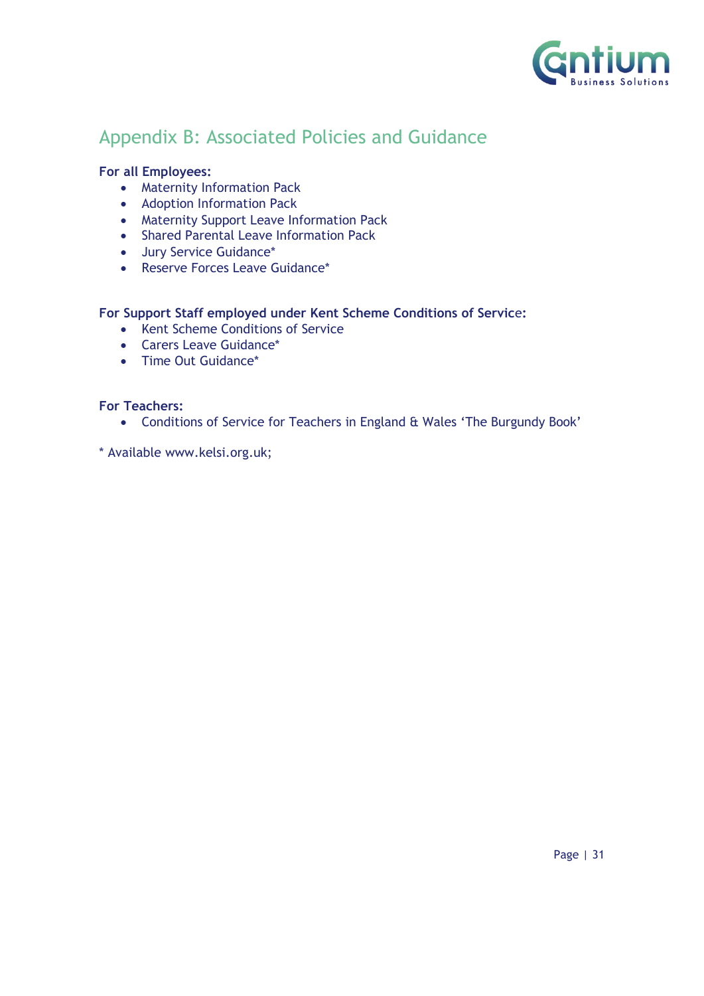

# <span id="page-30-0"></span>Appendix B: Associated Policies and Guidance

## **For all Employees:**

- Maternity Information Pack
- Adoption Information Pack
- Maternity Support Leave Information Pack
- Shared Parental Leave Information Pack
- Jury Service Guidance\*
- Reserve Forces Leave Guidance\*

## **For Support Staff employed under Kent Scheme Conditions of Servic**e**:**

- Kent Scheme Conditions of Service
- Carers Leave Guidance\*
- Time Out Guidance\*

## **For Teachers:**

• Conditions of Service for Teachers in England & Wales 'The Burgundy Book'

\* Available www.kelsi.org.uk;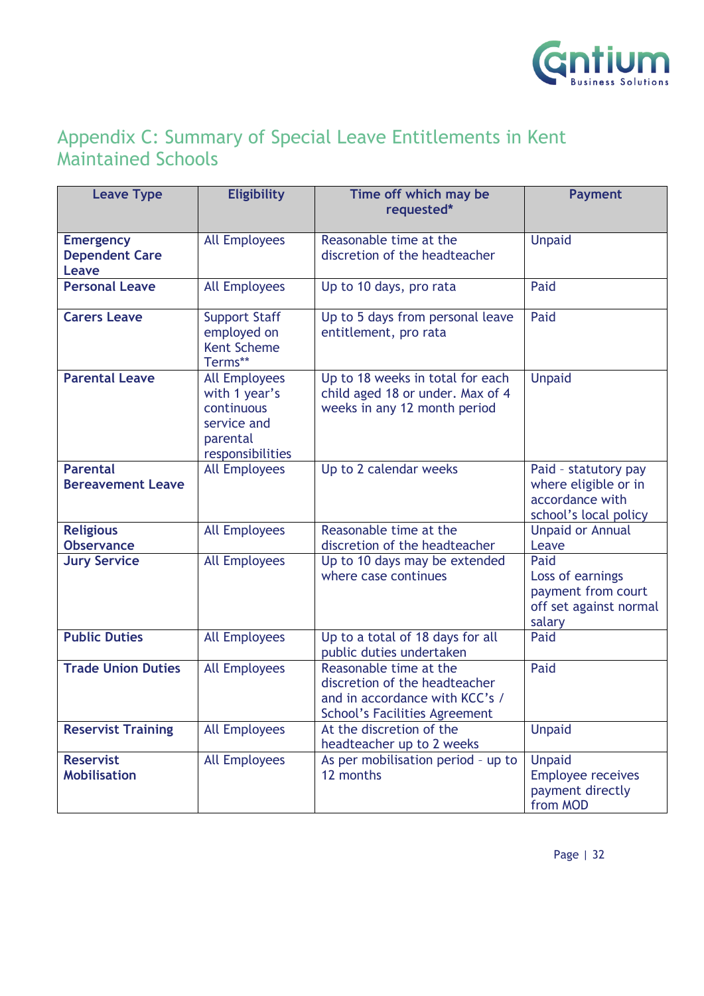

# <span id="page-31-0"></span>Appendix C: Summary of Special Leave Entitlements in Kent Maintained Schools

| <b>Leave Type</b>                                  | <b>Eligibility</b>                                                                                 | Time off which may be<br>requested*                                                                                               | <b>Payment</b>                                                                           |
|----------------------------------------------------|----------------------------------------------------------------------------------------------------|-----------------------------------------------------------------------------------------------------------------------------------|------------------------------------------------------------------------------------------|
| <b>Emergency</b><br><b>Dependent Care</b><br>Leave | <b>All Employees</b>                                                                               | Reasonable time at the<br>discretion of the headteacher                                                                           | <b>Unpaid</b>                                                                            |
| <b>Personal Leave</b>                              | <b>All Employees</b>                                                                               | Up to 10 days, pro rata                                                                                                           | Paid                                                                                     |
| <b>Carers Leave</b>                                | <b>Support Staff</b><br>employed on<br><b>Kent Scheme</b><br>Terms**                               | Up to 5 days from personal leave<br>entitlement, pro rata                                                                         | Paid                                                                                     |
| <b>Parental Leave</b>                              | <b>All Employees</b><br>with 1 year's<br>continuous<br>service and<br>parental<br>responsibilities | Up to 18 weeks in total for each<br>child aged 18 or under. Max of 4<br>weeks in any 12 month period                              | <b>Unpaid</b>                                                                            |
| <b>Parental</b><br><b>Bereavement Leave</b>        | <b>All Employees</b>                                                                               | Up to 2 calendar weeks                                                                                                            | Paid - statutory pay<br>where eligible or in<br>accordance with<br>school's local policy |
| <b>Religious</b><br><b>Observance</b>              | <b>All Employees</b>                                                                               | Reasonable time at the<br>discretion of the headteacher                                                                           | <b>Unpaid or Annual</b><br>Leave                                                         |
| <b>Jury Service</b>                                | <b>All Employees</b>                                                                               | Up to 10 days may be extended<br>where case continues                                                                             | Paid<br>Loss of earnings<br>payment from court<br>off set against normal<br>salary       |
| <b>Public Duties</b>                               | <b>All Employees</b>                                                                               | Up to a total of 18 days for all<br>public duties undertaken                                                                      | Paid                                                                                     |
| <b>Trade Union Duties</b>                          | <b>All Employees</b>                                                                               | Reasonable time at the<br>discretion of the headteacher<br>and in accordance with KCC's /<br><b>School's Facilities Agreement</b> | Paid                                                                                     |
| <b>Reservist Training</b>                          | <b>All Employees</b>                                                                               | At the discretion of the<br>headteacher up to 2 weeks                                                                             | <b>Unpaid</b>                                                                            |
| <b>Reservist</b><br><b>Mobilisation</b>            | <b>All Employees</b>                                                                               | As per mobilisation period - up to<br>12 months                                                                                   | <b>Unpaid</b><br><b>Employee receives</b><br>payment directly<br>from MOD                |